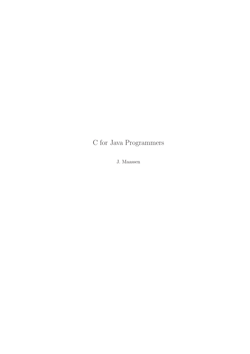# C for Java Programmers

J. Maassen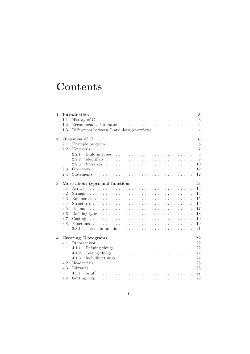# **Contents**

| $\mathbf{1}$             |     | Introduction                                                                  | 3              |
|--------------------------|-----|-------------------------------------------------------------------------------|----------------|
|                          | 1.1 | History of $C \ldots \ldots \ldots \ldots \ldots \ldots \ldots \ldots \ldots$ | 3              |
|                          | 1.2 |                                                                               | $\overline{4}$ |
|                          | 1.3 | Differences between C and Java (overview) $\ldots \ldots \ldots \ldots$       | $\overline{4}$ |
| $\overline{2}$           |     | Overview of C                                                                 | 6              |
|                          | 2.1 |                                                                               | 6              |
|                          | 2.2 |                                                                               | $\overline{7}$ |
|                          |     | 2.2.1                                                                         | 8              |
|                          |     | 2.2.2                                                                         | 9              |
|                          |     | 2.2.3                                                                         | 10             |
|                          | 2.3 |                                                                               | 12             |
|                          | 2.4 |                                                                               | 12             |
| 3                        |     | More about types and functions                                                | 13             |
|                          | 3.1 |                                                                               | 13             |
|                          | 3.2 |                                                                               | 15             |
|                          | 3.3 |                                                                               | 15             |
|                          | 3.4 |                                                                               | 16             |
|                          | 3.5 |                                                                               | 17             |
|                          | 3.6 |                                                                               | 18             |
|                          | 3.7 |                                                                               | 19             |
|                          | 3.8 |                                                                               | 19             |
|                          |     | 3.8.1                                                                         | 21             |
| Creating C programs<br>4 |     |                                                                               | 22             |
|                          | 4.1 |                                                                               | 22             |
|                          |     | 4.1.1                                                                         | 22             |
|                          |     | 4.1.2<br>Testing things                                                       | 24             |
|                          |     | 4.1.3                                                                         | 24             |
|                          | 4.2 |                                                                               | 25             |
|                          | 4.3 |                                                                               | 26             |
|                          |     | 4.3.1                                                                         | 27             |
|                          | 4.4 |                                                                               | 28             |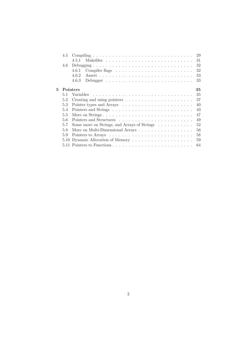|   | 4.5      |                                             | 29 |
|---|----------|---------------------------------------------|----|
|   |          | 4.5.1                                       | 31 |
|   | 4.6      |                                             | 32 |
|   |          | 4.6.1                                       | 32 |
|   |          | 4.6.2                                       | 33 |
|   |          | 4.6.3                                       | 33 |
|   |          |                                             |    |
| 5 | Pointers |                                             | 35 |
|   | 5.1      |                                             | 35 |
|   | 5.2      |                                             | 37 |
|   | 5.3      |                                             | 40 |
|   | 5.4      |                                             | 43 |
|   | 5.5      | More on Strings                             | 47 |
|   | 5.6      |                                             | 49 |
|   | 5.7      | Some more on Strings, and Arrays of Strings | 52 |
|   | 5.8      | More on Multi-Dimensional Arrays            | 56 |
|   | 5.9      |                                             | 58 |
|   |          | 5.10 Dynamic Allocation of Memory           | 59 |
|   |          |                                             | 64 |
|   |          |                                             |    |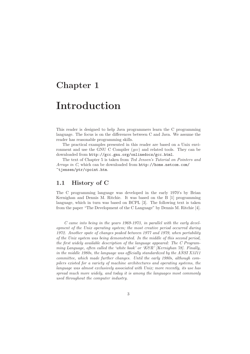# Chapter 1

# Introduction

This reader is designed to help Java programmers learn the C programming language. The focus is on the differences between C and Java. We assume the reader has reasonable programming skills.

The practical examples presented in this reader are based on a Unix environment and use the GNU C Compiler (gcc) and related tools. They can be downloaded from http://gcc.gnu.org/onlinedocs/gcc.html.

The text of Chapter 5 is taken from Ted Jensen's Tutorial on Pointers and Arrays in C, which can be downloaded from http://home.netcom.com/ ~tjensen/ptr/cpoint.htm.

### 1.1 History of C

The C programming language was developed in the early 1970's by Brian Kernighan and Dennis M. Ritchie. It was based on the B [1] programming language, which in turn was based on BCPL [3]. The following text is taken from the paper "The Development of the C Language" by Dennis M. Ritchie [4].

C came into being in the years 1969-1973, in parallel with the early development of the Unix operating system; the most creative period occurred during 1972. Another spate of changes peaked between 1977 and 1979, when portability of the Unix system was being demonstrated. In the middle of this second period, the first widely available description of the language appeared: The C Programming Language, often called the 'white book' or 'K&R' [Kernighan 78]. Finally, in the middle 1980s, the language was officially standardized by the ANSI X3J11 committee, which made further changes. Until the early 1980s, although compilers existed for a variety of machine architectures and operating systems, the language was almost exclusively associated with Unix; more recently, its use has spread much more widely, and today it is among the languages most commonly used throughout the computer industry.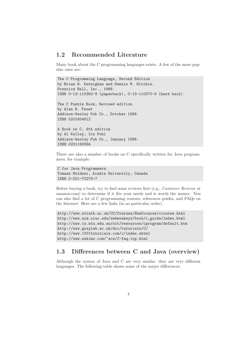### 1.2 Recommended Literature

Many book about the C programming languages exists. A few of the more popular ones are:

```
The C Programming Language, Second Edition
by Brian W. Kernighan and Dennis M. Ritchie.
Prentice Hall, Inc., 1988.
ISBN 0-13-110362-8 (paperback), 0-13-110370-9 (hard back).
The C Puzzle Book, Revised edition
by Alan R. Feuer
Addison-Wesley Pub Co., October 1998.
ISBN 0201604612
A Book on C, 4th edition
by Al Kelley, Ira Pohl
Addison-Wesley Pub Co., January 1998.
ISBN 0201183994
```
There are also a number of books on C specifically written for Java programmers, for example:

```
C for Java Programmers
Tomasz Muldner, Acadia University, Canada
ISBN 0-201-70279-7
```
Before buying a book, try to find some reviews first (e.g., Customer Reviews at amazon.com) to determine if it fits your needs and is worth the money. You can also find a lot of C programming courses, references guides, and FAQs on the Internet. Here are a few links (in no particular order).

```
http://www.strath.ac.uk/CC/Courses/NewCcourse/ccourse.html
http://www.acm.uiuc.edu/webmonkeys/book/c_guide/index.html
http://www.cs.ntu.edu.au/sit/resources/cprogram/default.htm
http://www.graylab.ac.uk/doc/tutorials/C/
http://www.1001tutorials.com/c/index.shtml
http://www.eskimo.com/~scs/C-faq.top.html
```
# 1.3 Differences between C and Java (overview)

Although the syntax of Java and C are very similar, they are very different languages. The following table shows some of the major differences: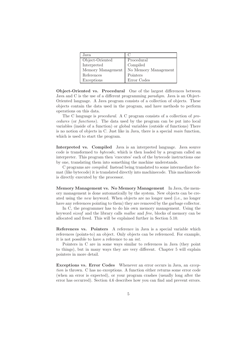| Java              | $\mathfrak{g}$       |
|-------------------|----------------------|
| Object-Oriented   | Procedural           |
| Interpreted       | Compiled             |
| Memory Management | No Memory Management |
| References        | Pointers             |
| Exceptions        | Error Codes          |

Object-Oriented vs. Procedural One of the largest differences between Java and C is the use of a different programming paradigm. Java is an Object-Oriented language. A Java program consists of a collection of objects. These objects contain the data used in the program, and have methods to perform operations on this data.

The C language is procedural. A C program consists of a collection of procedures (or functions). The data used by the program can be put into local variables (inside of a function) or global variables (outside of functions) There is no notion of objects in C. Just like in Java, there is a special main function, which is used to start the program.

Interpreted vs. Compiled Java is an interpreted language. Java source code is transformed to bytecode, which is then loaded by a program called an interpreter. This program then 'executes' each of the bytecode instructions one by one, translating them into something the machine understands.

C programs are compiled. Instead being translated to some intermediate format (like bytecode) it is translated directly into machinecode. This machinecode is directly executed by the processor.

Memory Management vs. No Memory Management In Java, the memory management is done automatically by the system. New objects can be created using the new keyword. When objects are no longer used (i.e., no longer have any references pointing to them) they are removed by the garbage collector.

In C, the programmer has to do his own memory management. Using the keyword sizeof and the library calls malloc and free, blocks of memory can be allocated and freed. This will be explained further in Section 5.10.

References vs. Pointers A reference in Java is a special variable which references (points-to) an object. Only objects can be referenced. For example, it is not possible to have a reference to an int.

Pointers in C are in some ways similar to references in Java (they point to things), but in many ways they are very different. Chapter 5 will explain pointers in more detail.

Exceptions vs. Error Codes Whenever an error occurs in Java, an exception is thrown. C has no exceptions. A function either returns some error code (when an error is expected), or your program crashes (usually long after the error has occurred). Section 4.6 describes how you can find and prevent errors.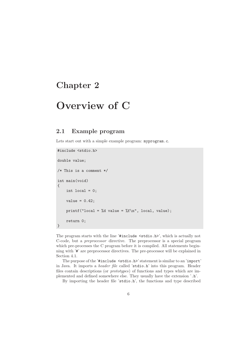# Chapter 2

# Overview of C

## 2.1 Example program

Lets start out with a simple example program: myprogram.c.

```
#include <stdio.h>
double value;
/* This is a comment */
int main(void)
{
    int local = 0;
    value = 0.42;
    printf("local = %d value = %f\n", local, value);
    return 0;
}
```
The program starts with the line '#include <stdio.h>', which is actually not C-code, but a preprocessor directive. The preprocessor is a special program which pre-processes the C program before it is compiled. All statements beginning with '#' are preprocessor directives. The pre-processor will be explained in Section 4.1.

The purpose of the '#include <stdio.h>' statement is similar to an 'import' in Java. It imports a header file called 'stdio.h' into this program. Header files contain descriptions (or prototypes) of functions and types which are implemented and defined somewhere else. They usually have the extension '.h'.

By importing the header file 'stdio.h', the functions and type described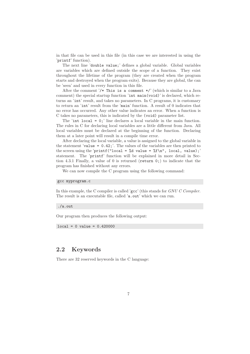in that file can be used in this file (in this case we are interested in using the 'printf' function).

The next line 'double value;' defines a global variable. Global variables are variables which are defined outside the scope of a function. They exist throughout the lifetime of the program (they are created when the program starts and destroyed when the program exits). Because they are global, the can be 'seen' and used in every function in this file.

After the comment  $\frac{1}{*}$  This is a comment  $\frac{*}{'}$  (which is similar to a Java comment) the special startup function 'int main(void)' is declared, which returns an 'int' result, and takes no parameters. In C programs, it is customary to return an 'int' result from the 'main' function. A result of 0 indicates that no error has occurred. Any other value indicates an error. When a function is C takes no parameters, this is indicated by the (void) parameter list.

The 'int local = 0;' line declares a local variable in the main function. The rules in C for declaring local variables are a little different from Java. All local variables must be declared at the beginning of the function. Declaring them at a later point will result in a compile time error.

After declaring the local variable, a value is assigned to the global variable in the statement 'value = 0.42;'. The values of the variables are then printed to the screen using the 'printf("local = %d value = %f\n", local, value);' statement. The 'printf' function will be explained in more detail in Section 4.3.1 Finally, a value of 0 is returned (return 0;) to indicate that the program has finished without any errors.

We can now compile the C program using the following command:

#### gcc myprogram.c

In this example, the C compiler is called 'gcc' (this stands for GNU C Compiler. The result is an executable file, called 'a.out' which we can run.

./a.out

Our program then produces the following output:

 $local = 0 value = 0.420000$ 

#### 2.2 Keywords

There are 32 reserved keywords in the C language: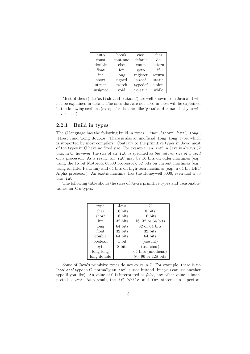| auto     | break    | case     | char   |
|----------|----------|----------|--------|
| const    | continue | default  | do     |
| double   | else     | enum     | extern |
| float    | for      | goto     | if     |
| int      | long     | register | return |
| short    | signed   | sizeof   | static |
| struct   | switch   | typedef  | union  |
| unsigned | void     | volatile | while  |

Most of these (like 'switch' and 'return') are well known from Java and will not be explained in detail. The ones that are not used in Java will be explained in the following sections (except for the ones like 'goto' and 'auto' that you will never need).

#### 2.2.1 Build in types

The C language has the following build in types : 'char, 'short', 'int', 'long', 'float', and 'long double'. There is also an unofficial 'long long' type, which is supported by most compilers. Contrary to the primitive types in Java, most of the types in C have no fixed size. For example: an 'int' in Java is always 32 bits, in C, however, the size of an 'int' is specified as the natural size of a word on a processor. As a result, an 'int' may be 16 bits on older machines (e.g., using the 16 bit Motorola 68000 processor), 32 bits on current machines (e.g., using an Intel Pentium) and 64 bits on high-tech machines (e.g., a 64 bit DEC Alpha processor). An exotic machine, like the Honeywell 6000, even had a 36 bits 'int'.

The following table shows the sizes of Java's primitive types and 'reasonable' values for C's types.

| type        | Java    | C                    |
|-------------|---------|----------------------|
| char        | 16 bits | 8 bits               |
| short       | 16 bits | 16 bits              |
| int         | 32 bits | $16, 32$ or 64 bits  |
| long        | 64 bits | $32$ or $64$ bits    |
| float       | 32 bits | 32 bits              |
| double      | 64 bits | 64 bits              |
| boolean     | 1 bit   | (use int)            |
| byte        | 8 bits  | (use char)           |
| long long   |         | 64 bits (unofficial) |
| long double |         | 80, 96 or 128 bits   |

Some of Java's primitive types do not exist in C. For example, there is no 'boolean' type in C, normally an 'int' is used instead (but you can use another type if you like). An value of 0 is interpreted as false, any other value is interpreted as true. As a result, the 'if', 'while' and 'for' statements expect an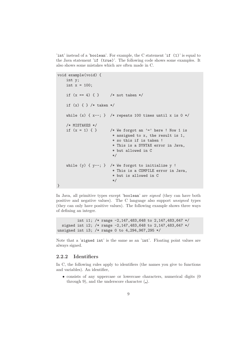'int' instead of a 'boolean'. For example, the C statement 'if (1)' is equal to the Java statement 'if (true)'. The following code shows some examples. It also shows some mistakes which are often made in C.

```
void example(void) {
    int y;
    int x = 100;
    if (x == 4) { } /* not taken */
    if (x) \{ \} /* taken */
    while (x) { x--; } /* repeats 100 times until x is 0 */
    /* MISTAKES */
    if (x = 1) \{ \} /* We forgot an '=' here ! Now 1 is
                         * assigned to x, the result is 1,
                         * so this if is taken !
                         * This is a SYNTAX error in Java,
                         * but allowed in C
                         */
    while (y) \{y--; \} /* We forgot to initialize y !
                         * This is a COMPILE error in Java,
                         * but is allowed in C
                         */
}
```
In Java, all primitive types except 'boolean' are signed (they can have both positive and negative values). The C language also support unsigned types (they can only have positive values). The following example shows three ways of defining an integer.

int i1; /\* range -2,147,483,648 to 2,147,483,647 \*/ signed int i2; /\* range -2,147,483,648 to 2,147,483,647 \*/ unsigned int i3; /\* range 0 to 4,294,967,295 \*/

Note that a 'signed int' is the same as an 'int'. Floating point values are always signed.

#### 2.2.2 Identifiers

In C, the following rules apply to identifiers (the names you give to functions and variables). An identifier,

• consists of any uppercase or lowercase characters, numerical digits (0 through 9), and the underscore character  $($ .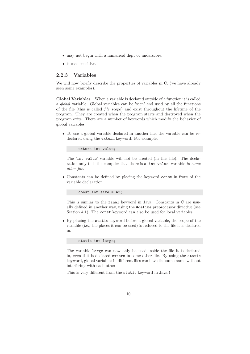- may not begin with a numerical digit or underscore.
- is case sensitive.

#### 2.2.3 Variables

We will now briefly describe the properties of variables in C. (we have already seen some examples).

Global Variables When a variable is declared outside of a function it is called a global variable. Global variables can be 'seen' and used by all the functions of the file (this is called file scope) and exist throughout the lifetime of the program. They are created when the program starts and destroyed when the program exits. There are a number of keywords which modify the behavior of global variables:

• To use a global variable declared in another file, the variable can be redeclared using the extern keyword. For example,

```
extern int value;
```
The 'int value' variable will not be created (in this file). The declaration only tells the compiler that there is a 'int value' variable in some other file.

• Constants can be defined by placing the keyword const in front of the variable declaration.

const int size = 42;

This is similar to the final keyword in Java. Constants in C are usually defined in another way, using the #define preprocessor directive (see Section 4.1). The const keyword can also be used for local variables.

• By placing the static keyword before a global variable, the scope of the variable (i.e., the places it can be used) is reduced to the file it is declared in.

static int large;

The variable large can now only be used inside the file it is declared in, even if it is declared extern in some other file. By using the static keyword, global variables in different files can have the same name without interfering with each other.

This is very different from the static keyword in Java !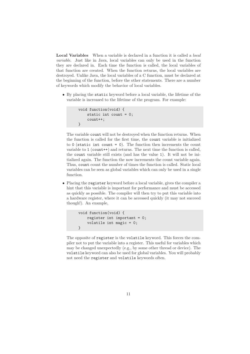Local Variables When a variable is declared in a function it is called a local variable. Just like in Java, local variables can only be used in the function they are declared in. Each time the function is called, the local variables of that function are created. When the function returns, the local variables are destroyed. Unlike Java, the local variables of a C function, must be declared at the beginning of the function, before the other statements. There are a number of keywords which modify the behavior of local variables.

• By placing the static keyword before a local variable, the lifetime of the variable is increased to the lifetime of the program. For example:

```
void function(void) {
   static int count = 0;
    count++;
}
```
The variable count will not be destroyed when the function returns. When the function is called for the first time, the count variable is initialized to  $0$  (static int count = 0). The function then increments the count variable to 1 (count++) and returns. The next time the function is called, the count variable still exists (and has the value 1). It will not be initialized again. The function the now increments the count variable again. Thus, count count the number of times the function is called. Static local variables can be seen as global variables which can only be used in a single function.

• Placing the register keyword before a local variable, gives the compiler a hint that this variable is important for performance and must be accessed as quickly as possible. The compiler will then try to put this variable into a hardware register, where it can be accessed quickly (it may not succeed though!). An example,

```
void function(void) {
   register int important = 0;
   volatile int magic = 0;
}
```
The opposite of register is the volatile keyword. This forces the compiler not to put the variable into a register. This useful for variables which may be changed unexpectedly (e.g., by some other thread or device). The volatile keyword can also be used for global variables. You will probably not need the register and volatile keywords often.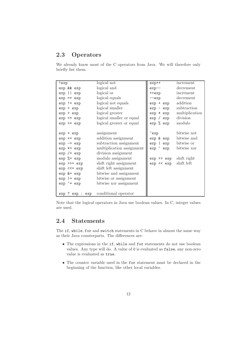# 2.3 Operators

We already know most of the C operators from Java. We will therefore only briefly list them.

| !exp                    | logical not               | exp++                     | increment      |
|-------------------------|---------------------------|---------------------------|----------------|
| exp && exp              | logical and               | $exp--$                   | decrement      |
| exp    exp              | logical or                | ++exp                     | increment      |
| $exp == exp$            | logical equals            | $--exp$                   | decrement      |
| $exp$ != $exp$          | logical not equals        | exp + exp                 | addition       |
| exp < exp               | logical smaller           | $exp - exp$               | subtraction    |
| $exp$ > $exp$           | logical greater           | exp * exp                 | multiplication |
| $exp \leq exp$          | logical smaller or equal  | exp / exp                 | division       |
| $exp$ >= $exp$          | logical greater or equal  | exp % exp                 | modulo         |
|                         |                           |                           |                |
| $exp = exp$             | assignment                | $\tilde{\phantom{a}}$ exp | bitwise not    |
| $exp$ += $exp$          | addition assignment       | exp & exp                 | bitwise and    |
| $exp = exp$             | subtraction assignment    | exp   exp                 | bitwise or     |
| $exp * = exp$           | multiplication assignment | exp ^ exp                 | bitwise xor    |
| $exp$ /= $exp$          | division assignment       |                           |                |
| $exp$ %= $exp$          | modulo assignment         | exp >> exp                | shift right    |
| $exp \rightarrow = exp$ | shift right assignment    | exp << exp                | shift left     |
| $exp \leq 2$ $exp$      | shift left assignment     |                           |                |
| $exp$ $&=$ $exp$        | bitwise and assignment    |                           |                |
| $exp$ = $exp$           | bitwise or assignment     |                           |                |
| $exp$ $= exp$           | bitwise xor assignment    |                           |                |
|                         |                           |                           |                |
| exp ? exp : exp         | conditional operator      |                           |                |

Note that the logical operators in Java use boolean values. In C, integer values are used.

# 2.4 Statements

The if, while, for and switch statements in C behave in almost the same way as their Java counterparts. The differences are:

- The expressions in the if, while and for statements do not use boolean values. Any type will do. A value of 0 is evaluated as false, any non-zero value is evaluated as true.
- The counter variable used in the for statement must be declared in the beginning of the function, like other local variables.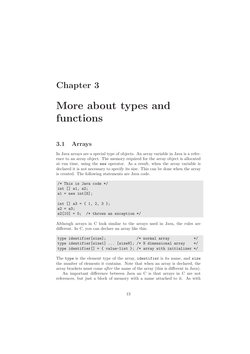# Chapter 3

# More about types and functions

#### 3.1 Arrays

In Java arrays are a special type of objects. An array variable in Java is a reference to an array object. The memory required for the array object is allocated at run time, using the new operator. As a result, when the array variable is declared it is not necessary to specify its size. This can be done when the array is created. The following statements are Java code.

```
/* This is Java code */
int [] a1, a2;
a1 = new int[8];int [] a3 = { 1, 2, 3 };
a2 = a3;a2[10] = 5; /* throws an exception */
```
Although arrays in C look similar to the arrays used in Java, the rules are different. In C, you can declare an array like this:

```
type identifier[size]; /* normal array */
type identifier[size1] ... [sizeN]; /* N dimensional array */
type identifier[] = { value-list }; /* array with initializer */
```
The type is the element type of the array, identifier is its name, and size the number of elements it contains. Note that when an array is declared, the array brackets must come after the name of the array (this is different in Java).

An important difference between Java an C is that arrays in C are not references, but just a block of memory with a name attached to it. As with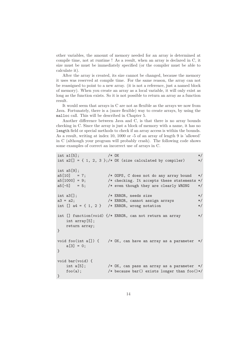other variables, the amount of memory needed for an array is determined at compile time, not at runtime ! As a result, when an array is declared in C, it size must be must be immediately specified (or the compiler must be able to calculate it).

After the array is created, its size cannot be changed, because the memory it uses was reserved at compile time. For the same reason, the array can not be reassigned to point to a new array. (it is not a reference, just a named block of memory). When you create an array as a local variable, it will only exist as long as the function exists. So it is not possible to return an array as a function result.

It would seem that arrays in C are not as flexible as the arrays we now from Java. Fortunately, there is a (more flexible) way to create arrays, by using the malloc call. This will be described in Chapter 5.

Another difference between Java and C, is that there is no array bounds checking in C. Since the array is just a block of memory with a name, it has no length field or special methods to check if an array access is within the bounds. As a result, writing at index 10, 1000 or -5 of an array of length 9 is 'allowed' in C (although your program will probably crash). The following code shows some examples of correct an incorrect use of arrays in C.

```
int a1[5]; /* OK */
int a2[] = { 1, 2, 3 };/* OK (size calculated by compiler) *int a5[9];
a5[10] = 7; /* OOPS, C does not do any array bound */a5[1000] = 9; /* checking. It accepts these statements */a5[-5] = 5; /* even though they are clearly WRONG */int a3[]; /* ERROR, needs size */
a3 = a2; /* ERROR, cannot assign arrays *int [] a4 = { 1, 2 } /* ERROR, wrong notation */
int [] function(void) {/* ERROR, can not return an array */
   int array[5];
   return array;
}
void foo(int a[]) { /* OK, can have an array as a parameter */a[3] = 0;}
void bar(void) {
   int a[5]; /* OK, can pass an array as a parameter */
   foo(a); /* because bar() exists longer than foo()*/
}
```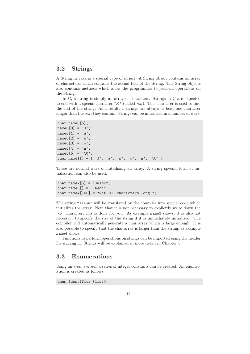## 3.2 Strings

A String in Java is a special type of object. A String object contains an array of characters, which contains the actual text of the String. The String objects also contains methods which allow the programmer to perform operations on the String.

In C, a string is simply an array of characters. Strings in C are expected to end with a special character ' $\lozenge$ ' (called *nul*). This character is used to find the end of the string. As a result, C-strings are always at least one character longer than the text they contain. Strings can be initialized in a number of ways:

```
char name0[6];
name0[0] = 'J';name0[1] = 'a';name0[2] = 'sname0[3] = 'o';name0[4] = 'n';name0[5] = \sqrt[3]{0};
char name1[] = { 'J', 'a', 's', 'o', 'n', '\0' };
```
These are normal ways of initializing an array. A string specific form of initialization can also be used.

```
char name2[6] = "Jason";char name3[] = "Jason";char name4[100] = "Not 100 characters long!";
```
The string "Jason" will be translated by the compiler into special code which initializes the array. Note that it is not necessary to explicitly write down the '\0' character, this is done for you. As example name3 shows, it is also not necessary to specify the size of the string if it is immediately initialized. The compiler will automatically generate a char array which is large enough. It is also possible to specify that the char array is larger than the string, as example name4 shows.

Functions to perform operations on strings can be imported using the header file string.h. Strings will be explained in more detail in Chapter 5.

### 3.3 Enumerations

Using an enumeration, a series of integer constants can be created. An enumeration is created as follows:

enum identifier {list};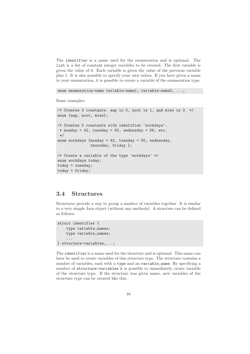The identifier is a name used for the enumeration and is optional. The list is a list of constant integer variables to be created. The first variable is given the value of 0. Each variable is given the value of the previous variable plus 1. It is also possible to specify your own values. If you have given a name to your enumeration, it is possible to create a variable of the enumeration type.

```
enum enumeration-name variable-name1, variable-name2, ...;
```
Some examples:

```
/* Creates 3 constants. aap is 0, noot is 1, and mies is 3. */
enum {aap, noot, mies};
/* Creates 5 constants with identifier 'workdays'.
 * monday = 42, tuesday = 55, wednesday = 56, etc.
 */
enum workdays {monday = 42, tuesday = 55, wednesday,
               thursday, friday };
/* Create a variable of the type 'workdays' */
enum workdays today;
today = tuesday;
today = friday;
```
#### 3.4 Structures

Structures provide a way to group a number of variables together. It is similar to a very simple Java object (without any methods). A structure can be defined as follows:

```
struct identifier {
    type variable_names;
    type variable_names;
    ...
} structure-variables,...;
```
The identifier is a name used for the structure and is optional. This name can later be used to create variables of this structure type. The structure contains a number of variables, each with a type and an variable\_name. By specifying a number of structure-variables it is possible to immediately create variable of the structure type. If the structure was given name, new variables of the structure type can be created like this: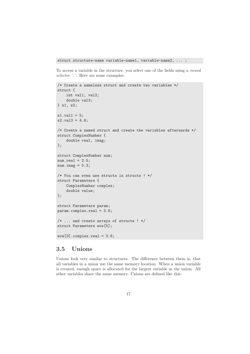struct structure-name variable-name1, variable-name2, ... ;

To access a variable in the structure, you select one of the fields using a record selector '.'. Here are some examples:

```
/* Create a nameless struct and create two variables */
struct {
    int val1, val2;
    double val3;
} s1, s2;
s1.val1 = 5;
s2.va13 = 4.6;/* Create a named struct and create the variables afterwards */
struct ComplexNumber {
    double real, imag;
};
struct ComplexNumber num;
num.read = 2.5;num.inag = 0.3;/* You can even use structs in structs ! */
struct Parameters {
    ComplexNumber complex;
    double value;
};
struct Parameters param;
param.complex.real = 3.6;
/* ... and create arrays of structs ! */
struct Parameters wow[5];
wow[3].complex.real = 3.6;
```
## 3.5 Unions

Unions look very similar to structures. The difference between them is, that all variables in a union use the same memory location. When a union variable is created, enough space is allocated for the largest variable in the union. All other variables share the same memory. Unions are defined like this: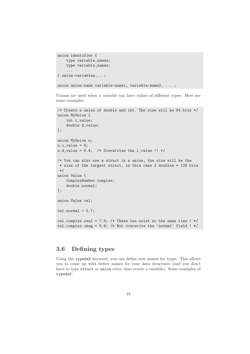```
union identifier {
    type variable_names;
    type variable_names;
    ...
} union-variables,...;
union union-name variable-name1, variable-name2, ...;
```
Unions are used when a variable can have values of different types. Here are some examples:

```
/* Create a union of double and int. The size will be 64 bits */
union MyUnion {
    int i_value;
    double d_value;
};
union MyUnion u;
u.i value = 6:
u.d_value = 5.4; /* Overwrites the i_value !! */
/* You can also use a struct in a union, the size will be the
* size of the largest struct, in this case 2 doubles = 128 bits
 */
union Value {
    ComplexNumber complex;
    double normal;
};
union Value val;
val.normal = 5.7;
val.complex.real = 7.9; /* These two exist at the same time ! */
val.complex.imag = 9.8; /* But overwrite the 'normal' field ! */
```
### 3.6 Defining types

Using the typedef keyword, you can define new names for types. This allows you to come up with better names for your data structures (and you don't have to type struct or union every time create a variable). Some examples of typedef: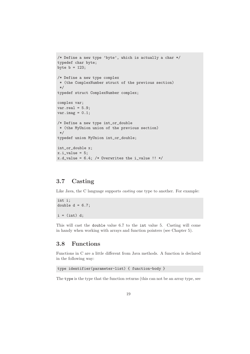```
/* Define a new type 'byte', which is actually a char */
typedef char byte;
byte b = 123;
/* Define a new type complex
 * (the ComplexNumber struct of the previous section)
 */
typedef struct ComplexNumber complex;
complex var;
var.read = 5.9;var.inag = 0.1;/* Define a new type int_or_double
* (the MyUnion union of the previous section)
 */
typedef union MyUnion int_or_double;
int_or_double x;
x.i-value = 5;
x.d_value = 6.4; /* Overwrites the i_value !! */
```
### 3.7 Casting

Like Java, the C language supports *casting* one type to another. For example:

```
int i;
double d = 6.7;
i = (int) d;
```
This will cast the double value 6.7 to the int value 5. Casting will come in handy when working with arrays and function pointers (see Chapter 5).

## 3.8 Functions

Functions in C are a little different from Java methods. A function is declared in the following way:

```
type identifier(parameter-list) { function-body }
```
The type is the type that the function returns (this can not be an array type, see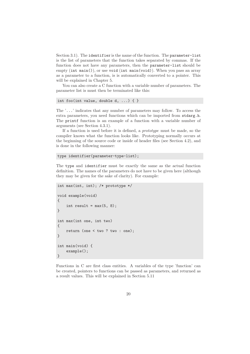Section 3.1). The identifier is the name of the function. The parameter-list is the list of parameters that the function takes separated by commas. If the function does not have any parameters, then the parameter-list should be empty (int main()), or use void (int main(void)). When you pass an array as a parameter to a function, is is automatically converted to a pointer. This will be explained in Chapter 5.

You can also create a C function with a variable number of parameters. The parameter list is must then be terminated like this:

```
int foo(int value, double d, ...) \{ \}
```
The '...' indicates that any number of parameters may follow. To access the extra parameters, you need functions which can be imported from stdarg.h. The printf function is an example of a function with a variable number of arguments (see Section 4.3.1).

If a function is used before it is defined, a prototype must be made, so the compiler knows what the function looks like. Prototyping normally occurs at the beginning of the source code or inside of header files (see Section 4.2), and is done in the following manner:

```
type identifier(parameter-type-list);
```
The type and identifier must be exactly the same as the actual function definition. The names of the parameters do not have to be given here (although they may be given for the sake of clarity). For example:

```
int max(int, int); /* prototype */
void example(void)
{
    int result = max(5, 8);
}
int max(int one, int two)
{
    return (one < two ? two : one);
}
int main(void) {
    example();
}
```
Functions in C are first class entities. A variables of the type 'function' can be created, pointers to functions can be passed as parameters, and returned as a result values. This will be explained in Section 5.11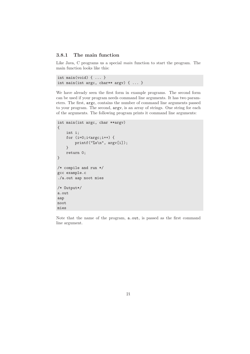#### 3.8.1 The main function

Like Java, C programs us a special *main* function to start the program. The main function looks like this:

```
int main(void) { ... }
int main(int argc, char** argv) \{ \ldots \}
```
We have already seen the first form in example programs. The second form can be used if your program needs command line arguments. It has two parameters. The first, argc, contains the number of command line arguments passed to your program. The second, argv, is an array of strings. One string for each of the arguments. The following program prints it command line arguments:

```
int main(int argc, char **argv)
{
    int i;
    for (i=0; i < argc; i++) {
        printf("%s\n", argv[i]);
    }
    return 0;
}
/* compile and run */
gcc example.c
./a.out aap noot mies
/* Output*/
a.out
aap
noot
mies
```
Note that the name of the program, a.out, is passed as the first command line argument.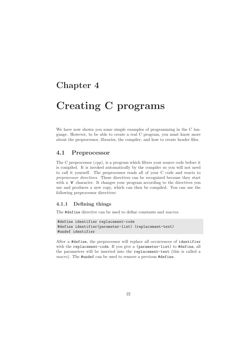# Chapter 4

# Creating C programs

We have now shown you some simple examples of programming in the C language. However, to be able to create a real C program, you must know more about the preprocessor, libraries, the compiler, and how to create header files.

#### 4.1 Preprocessor

The C preprocessor  $(cpp)$ , is a program which filters your source code before it is compiled. It is invoked automatically by the compiler so you will not need to call it yourself. The preprocessor reads all of your C code and reacts to preprocessor directives. These directives can be recognized because they start with a '#' character. It changes your program according to the directives you use and produces a new copy, which can then be compiled. You can use the following preprocessor directives:

#### 4.1.1 Defining things

The #define directive can be used to define constants and macros.

```
#define identifier replacement-code
#define identifier(parameter-list) (replacement-text)
#undef identifier
```
After a #define, the preprocessor will replace all occurrences of identifier with the replacement-code. If you give a (parameter-list) to #define, all the parameters will be inserted into the replacement-text (this is called a macro). The #undef can be used to remove a previous #define.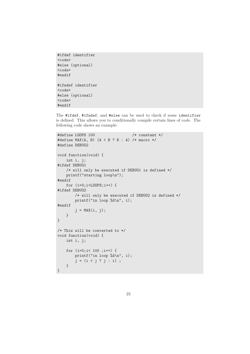```
#ifdef identifier
<code></code>
#else (optional)
<code></code>
#endif
#ifndef identifier
<code></code>
#else (optional)
<code></code>
#endif
```
The #ifdef, #ifndef, and #else can be used to check if some identifier is defined. This allows you to conditionally compile certain lines of code. The following code shows an example:

```
#define LOOPS 100 /* constant */
#define MAX(A, B) (A < B ? B : A) /* macro */
#define DEBUG2
void function(void) {
    int i, j;
#ifdef DEBUG1
    /* will only be executed if DEBUG1 is defined */
    printf("starting loop\n");
#endif
    for (i=0;i<LOOPS;i++) {
#ifdef DEBUG2
        /* will only be executed if DEBUG2 is defined */
       printf("in loop %d\n", i);
#endif
        j = MAX(i, j);}
}
/* This will be converted to */
void function(void) {
    int i, j;
    for (i=0;i< 100 ;i++) {
       printf("in loop %d\n", i);
       j = (i < j ? j : i);
    }
}
```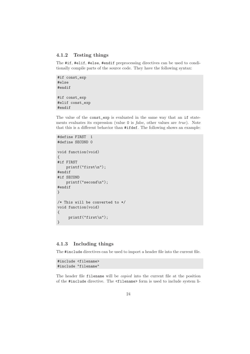#### 4.1.2 Testing things

The #if, #elif, #else, #endif preprocessing directives can be used to conditionally compile parts of the source code. They have the following syntax:

```
#if const_exp
#else
#endif
#if const_exp
#elif const_exp
#endif
```
The value of the const\_exp is evaluated in the same way that an if statements evaluates its expression (value 0 is false, other values are true). Note that this is a different behavior than #ifdef. The following shows an example:

```
#define FIRST 1
#define SECOND 0
void function(void)
{
#if FIRST
    printf("first\n");
#endif
#if SECOND
    printf("second\n");
#endif
}
/* This will be converted to */
void function(void)
{
     printf("first\n");
}
```
#### 4.1.3 Including things

The #include directives can be used to import a header file into the current file.

#include <filename> #include "filename"

The header file filename will be *copied* into the current file at the position of the #include directive. The <filename> form is used to include system li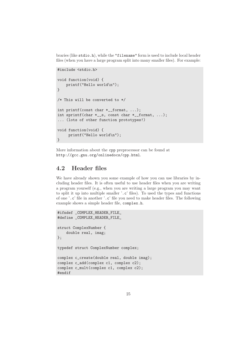braries (like stdio.h), while the "filename" form is used to include local header files (when you have a large program split into many smaller files). For example:

```
#include <stdio.h>
void function(void) {
    printf("Hello world\n");
}
/* This will be converted to */
int printf(const char *__format, ...);
int sprintf(char *__s, const char *__format, ...);
... (lots of other function prototypes!)
void function(void) {
     printf("Hello world\n");
}
```
More information about the cpp preprocessor can be found at http://gcc.gnu.org/onlinedocs/cpp.html.

### 4.2 Header files

We have already shown you some example of how you can use libraries by including header files. It is often useful to use header files when you are writing a program yourself (e.g., when you are writing a large program you may want to split it up into multiple smaller '.c' files). To used the types and functions of one '.c' file in another '.c' file you need to make header files. The following example shows a simple header file, complex.h.

```
#ifndef _COMPLEX_HEADER_FILE_
#define _COMPLEX_HEADER_FILE_
struct ComplexNumber {
    double real, imag;
};
typedef struct ComplexNumber complex;
complex c_create(double real, double imag);
complex c_add(complex c1, complex c2);
complex c_mult(complex c1, complex c2);
#endif
```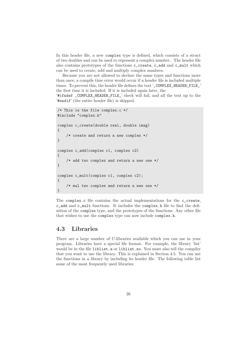In this header file, a new complex type is defined, which consists of a struct of two doubles and can be used to represent a complex number.. The header file also contains prototypes of the functions c\_create, c\_add and c\_mult which can be used to create, add and multiply complex numbers.

Because you are not allowed to declare the same types and functions more than once, a compile time error would occur if a header file is included multiple times. To prevent this, the header file defines the text '\_COMPLEX\_HEADER\_FILE\_' the first time it is included. If it is included again later, the

'#ifndef \_COMPLEX\_HEADER\_FILE\_' check will fail, and all the text up to the '#endif' (the entire header file) is skipped.

```
/* This is the file complex.c */
#include "complex.h"
complex c_create(double real, double imag)
{
    /* create and return a new complex */
}
complex c_add(complex c1, complex c2)
{
    /* add two complex and return a new one */
}
complex c_mult(complex c1, complex c2);
{
    /* mul two complex and return a new one */
}
```
The complex.c file contains the actual implementations for the c\_create, c\_add and c\_mult functions. It includes the complex.h file to find the definition of the complex type, and the prototypes of the functions. Any other file that wishes to use the complex type can now include complex.h.

## 4.3 Libraries

There are a large number of C-libraries available which you can use in your program. Libraries have a special file format. For example, the library 'list' would be in the file liblist.a or liblist.so. You must also tell the compiler that you want to use the library. This is explained in Section 4.5. You can use the functions in a library by including its header file. The following table list some of the most frequently used libraries: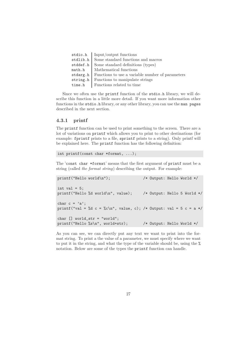|  | $\text{stdio.h}$   Input/output functions                   |
|--|-------------------------------------------------------------|
|  | stdlib.h Some standard functions and macros                 |
|  | stddef.h   Some standard definitions (types)                |
|  | math.h   Mathematical functions                             |
|  | stdarg.h   Functions to use a variable number of parameters |
|  | string.h   Functions to manipulate strings                  |
|  | time.h   Functions related to time                          |
|  |                                                             |

Since we often use the printf function of the stdio.h library, we will describe this function in a little more detail. If you want more information other functions in the stdio.h library, or any other library, you can use the man pages described in the next section.

#### 4.3.1 printf

The printf function can be used to print something to the screen. There are a lot of variations on printf which allows you to print to other destinations (for example: fprintf prints to a file, sprintf prints to a string). Only printf will be explained here. The printf function has the following definition:

int printf(const char \*format, ...);

The 'const char \*format' means that the first argument of printf must be a string (called the format string) describing the output. For example:

```
printf("Hello world\n"); /* Output: Hello World */
int val = 5;
printf("Hello %d world\n", value); /* Output: Hello 5 World */
char c = 'a';
printf("val = %d c = %c\n", value, c); /* Output: val = 5 c = a */
char [] world_str = "world";
printf("Hello %s\n", world+str); /* Output: Hello World */
```
As you can see, we can directly put any text we want to print into the format string. To print a the value of a parameter, we must specify where we want to put it in the string, and what the type of the variable should be, using the % notation. Below are some of the types the printf function can handle.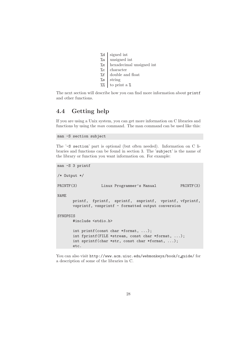- %d signed int
- %u unsigned int
- %x hexadecimal unsigned int
- $\%c$  character
- %f double and float
- %s string
- $%$  to print a %

The next section will describe how you can find more information about printf and other functions.

# 4.4 Getting help

If you are using a Unix system, you can get more information on C libraries and functions by using the man command. The man command can be used like this:

man -S section subject

The '-S section' part is optional (but often needed). Information on C libraries and functions can be found in section 3. The 'subject' is the name of the library or function you want information on. For example:

```
man -S 3 printf
/* Output */
PRINTF(3) Linux Programmer's Manual PRINTF(3)
NAME
      printf, fprintf, sprintf, snprintf, vprintf, vfprintf,
      vsprintf, vsnprintf - formatted output conversion
SYNOPSIS
      #include <stdio.h>
      int printf(const char *format, ...);
      int fprintf(FILE *stream, const char *format, ...);
      int sprintf(char *str, const char *format, ...);
      etc.
```
You can also visit http://www.acm.uiuc.edu/webmonkeys/book/c\_guide/for a description of some of the libraries in C.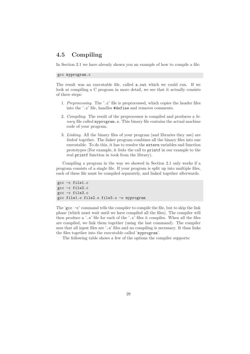## 4.5 Compiling

In Section 2.1 we have already shown you an example of how to compile a file:

gcc myprogram.c

The result was an executable file, called a.out which we could run. If we look at compiling a C program in more detail, we see that it actually consists of three steps:

- 1. Preprocessing. The '.c' file is preprocessed, which copies the header files into the '.c' file, handles #define and removes comments.
- 2. Compiling. The result of the preprocessor is compiled and produces a binary file called myprogram.o. This binary file contains the actual machine code of your program.
- 3. Linking. All the binary files of your program (and libraries they use) are linked together. The linker program combines all the binary files into one executable. To do this, it has to resolve the extern variables and function prototypes (For example, it links the call to printf in our example to the real printf function in took from the library).

Compiling a program in the way we showed in Section 2.1 only works if a program consists of a single file. If your program is split up into multiple files, each of these file must be compiled separately, and linked together afterwards.

```
gcc -c file1.c
gcc -c file2.c
gcc -c file3.c
gcc file1.o file2.o file3.o -o myprogram
```
The 'gcc  $-c$ ' command tells the compiler to compile the file, but to skip the link phase (which must wait until we have compiled all the files). The compiler will then produce a '.o' file for each of the '.c' files it compiles. When all the files are compiled, we link them together (using the last command). The compiler sees that all input files are '.<sup>o'</sup> files and no compiling is necessary. It than links the files together into the executable called 'myprogram'.

The following table shows a few of the options the compiler supports: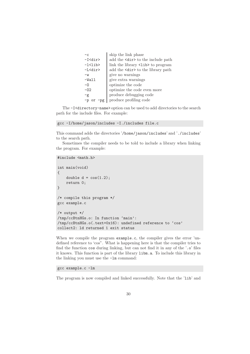| $-c$                | skip the link phase                    |
|---------------------|----------------------------------------|
| -I <dir></dir>      | add the <dir>to the include path</dir> |
| $-1<$ lib $>$       | link the library <1ib> to program      |
| -L <dir></dir>      | add the <dir>to the library path</dir> |
| $-w$                | give no warnings                       |
| $-Wall$             | give extra warnings                    |
| $-0$                | optimize the code                      |
| $-02$               | optimize the code even more            |
| $-g$                | produce debugging code                 |
| $-p$<br>$-pg$<br>or | produce profiling code                 |

The -I<directory-name> option can be used to add directories to the search path for the include files. For example:

gcc -I/home/jason/includes -I./includes file.c

This command adds the directories '/home/jason/includes' and './includes' to the search path.

Sometimes the compiler needs to be told to include a library when linking the program. For example:

```
#include <math.h>
int main(void)
{
    double d = cos(1.2);
    return 0;
}
/* compile this program */
gcc example.c
/* output */
/tmp/ccBtnHGs.o: In function 'main':
/tmp/ccBtnHGs.o(.text+0x16): undefined reference to 'cos'
collect2: ld returned 1 exit status
```
When we compile the program example.c, the compiler gives the error 'undefined reference to 'cos". What is happening here is that the compiler tries to find the function cos during linking, but can not find it in any of the '.o' files it knows. This function is part of the library libm.a. To include this library in the linking you must use the -lm command:

#### gcc example.c -lm

The program is now compiled and linked successfully. Note that the 'lib' and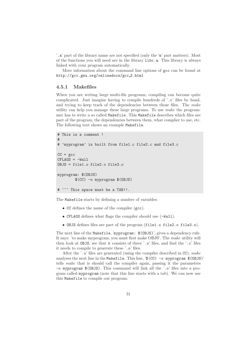'.a' part of the library name are not specified (only the 'm' part matters). Most of the functions you will need are in the library libc.a. This library is always linked with your program automatically.

More information about the command line options of gcc can be found at http://gcc.gnu.org/onlinedocs/gcc 3.html

#### 4.5.1 Makefiles

When you are writing large multi-file programs, compiling can become quite complicated. Just imagine having to compile hundreds of '.c' files by hand, and trying to keep track of the dependencies between those files. The make utility can help you manage these large programs. To use make the programmer has to write a so called Makefile. This Makefile describes which files are part of the program, the dependencies between them, what complier to use, etc. The following text shows an example Makefile.

```
# This is a comment !
#
# 'myprogram' is built from file1.c file2.c and file3.c
CC = \text{gcc}CFLAGS = -WallOBJS = file1.o file2.o file3.o
myprogram: $(OBJS)
        $(CC) -o myprogram $(OBJS)
# ^^^ This space must be a TAB!!.
```
The Makefile starts by defining a number of variables:

- CC defines the name of the compiler (gcc).
- CFLAGS defines what flags the compiler should use (-Wall).
- OBJS defines files are part of the program (file1.o file2.o file3.o).

The next line of the Makefile, 'myprogram: \$(OBJS)', gives a dependency rule. It says: 'to make myprogram, you must first make OBJS'. The make utility will then look at OBJS, see that it consists of three '.o' files, and find the '.c' files it needs to compile to generate these '.o' files.

After the '.<sup>o</sup>' files are generated (using the compiler described in CC), make analyses the next line in the Makefile. This line, '\$(CC) -o myprogram \$(OBJS)' tells make that is should call the compiler again, passing it the parameters -o myprogram \$(OBJS). This command will link all the '.o' files into a program called myprogram (note that this line starts with a tab). We can now use this Makefile to compile our program: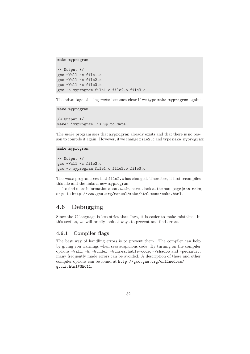```
make myprogram
```

```
/* Output */
gcc -Wall -c file1.c
gcc -Wall -c file2.c
gcc -Wall -c file3.c
gcc -o myprogram file1.o file2.o file3.o
```
The advantage of using *make* becomes clear if we type make myprogram again:

```
make myprogram
/* Output */
make: 'myprogram' is up to date.
```
The make program sees that myprogram already exists and that there is no reason to compile it again. However, if we change file2.c and type make myprogram:

```
make myprogram
/* Output */
gcc -Wall -c file2.c
gcc -o myprogram file1.o file2.o file3.o
```
The make program sees that file2.c has changed. Therefore, it first recompiles this file and the links a new myprogram.

To find more information about make, have a look at the man page (man make) or go to http://www.gnu.org/manual/make/html mono/make.html.

### 4.6 Debugging

Since the C language is less strict that Java, it is easier to make mistakes. In this section, we will briefly look at ways to prevent and find errors.

#### 4.6.1 Compiler flags

The best way of handling errors is to prevent them. The compiler can help by giving you warnings when sees suspicious code. By turning on the compiler options -Wall, -W, -Wundef, -Wunreachable-code, -Wshadow and -pedantic, many frequently made errors can be avoided. A description of these and other compiler options can be found at http://gcc.gnu.org/onlinedocs/ gcc 3.html#SEC11.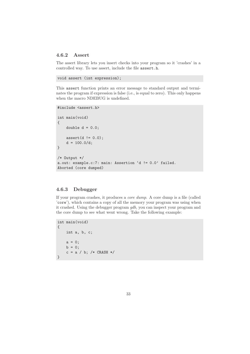#### 4.6.2 Assert

The assert library lets you insert checks into your program so it 'crashes' in a controlled way. To use assert, include the file assert.h.

```
void assert (int expression);
```
This assert function prints an error message to standard output and terminates the program if expression is false (i.e., is equal to zero). This only happens when the macro NDEBUG is undefined.

```
#include <assert.h>
int main(void)
{
   double d = 0.0;
   assert(d |= 0.0);d = 100.0/d;
}
/* Output */
a.out: example.c:7: main: Assertion 'd != 0.0' failed.
Aborted (core dumped)
```
#### 4.6.3 Debugger

If your program crashes, it produces a core dump. A core dump is a file (called 'core'), which contains a copy of all the memory your program was using when it crashed. Using the debugger program  $qdb$ , you can inspect your program and the core dump to see what went wrong. Take the following example:

```
int main(void)
{
    int a, b, c;
    a = 0;b = 0;c = a / b; /* CRASH */
}
```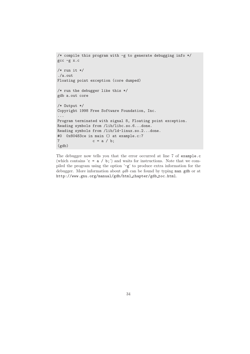```
/* compile this program with -g to generate debugging info */
gcc -g x.c
/* run it */./a.out
Floating point exception (core dumped)
/* run the debugger like this */
gdb a.out core
/* Output */
Copyright 1998 Free Software Foundation, Inc.
...
Program terminated with signal 8, Floating point exception.
Reading symbols from /lib/libc.so.6...done.
Reading symbols from /lib/ld-linux.so.2...done.
#0 0x80483ce in main () at example.c:7
7 \quad c = a / b;(gdb)
```
The debugger now tells you that the error occurred at line 7 of example.c (which contains ' $c = a / b$ ;') and waits for instructions. Note that we compiled the program using the option '-g' to produce extra information for the debugger. More information about gdb can be found by typing man gdb or at http://www.gnu.org/manual/gdb/html\_chapter/gdb\_toc.html.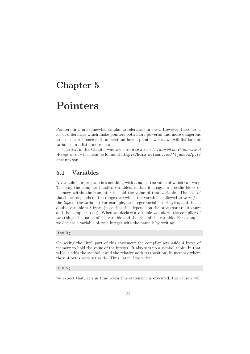# Chapter 5

# Pointers

Pointers in C are somewhat similar to references in Java. However, there are a lot of differences which make pointers both more powerful and more dangerous to use that references. To understand how a pointer works, we will fist look at variables in a little more detail.

The text in this Chapter was taken from ed Jensen's Tutorial on Pointers and Arrays in C, which can be found at http://home.netcom.com/~tjensen/ptr/ cpoint.htm.

### 5.1 Variables

A variable in a program is something with a name, the value of which can vary. The way the compiler handles variables, is that it assigns a specific block of memory within the computer to hold the value of that variable. The size of that block depends on the range over which the variable is allowed to vary (i.e., the type of the variable) For example, an integer variable is 4 bytes, and that a double variable is 8 bytes (note that this depends on the processor architecture and the compiler used). When we declare a variable we inform the compiler of two things, the name of the variable and the type of the variable. For example, we declare a variable of type integer with the name k by writing:

int k;

On seeing the "int" part of this statement the compiler sets aside 4 bytes of memory to hold the value of the integer. It also sets up a symbol table. In that table it adds the symbol k and the relative address (position) in memory where those 4 bytes were set aside. Thus, later if we write:

#### $k = 2;$

we expect that, at run time when this statement is executed, the value 2 will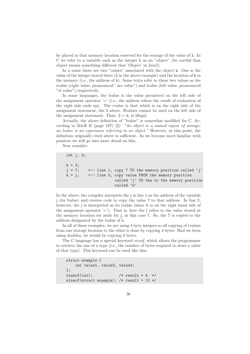be placed in that memory location reserved for the storage of the value of k. In C we refer to a variable such as the integer k as an "object" (be careful that object means something different that 'Object' in Java!).

In a sense there are two "values" associated with the object k. One is the value of the integer stored there (2 in the above example) and the location of k in the memory (i.e., the address of k). Some texts refer to these two values as the rvalue (right value, pronounced "are value") and lvalue (left value, pronounced "el value") respectively.

In some languages, the lvalue is the value permitted on the left side of the assignment operator  $=$  (i.e., the address where the result of evaluation of the right side ends up). The rvalue is that which is on the right side of the assignment statement, the 2 above. Rvalues cannot be used on the left side of the assignment statement. Thus:  $2 = k$ ; is illegal.

Actually, the above definition of "lvalue" is somewhat modified for C. According to K&R II (page 197) [2]: "An object is a named region of storage; an lvalue is an expression referring to an object." However, at this point, the definition originally cited above is sufficient. As we become more familiar with pointers we will go into more detail on this.

Now consider:

```
int j, k;
k = 2;
j = 7; \leq - line 1, copy 7 TO the memory position called 'j'
k = j; \leftarrow line 2, copy value FROM the memory position
                      called 'j' TO the to the memory position
                      called 'k'
```
In the above, the compiler interprets the j in line 1 as the address of the variable j (its lvalue) and creates code to copy the value 7 to that address. In line 2, however, the j is interpreted as its rvalue (since it is on the right hand side of the assignment operator  $'=$ ). That is, here the j refers to the value stored at the memory location set aside for j, in this case 7. So, the 7 is copied to the address designated by the lvalue of k.

In all of these examples, we are using 4 byte integers so all copying of rvalues from one storage location to the other is done by copying 4 bytes. Had we been using doubles, we would be copying 8 bytes.

The C language has a special keyword sizeof, which allows the programmer to retrieve the size of a type (i.e., the number of bytes required to store a value of that type). This keyword can be used like this:

```
struct example {
   int value1, value2, value3;
\}:
sizeof(int); /* result = 4 */
sizeof(struct example); /* result = 12 */
```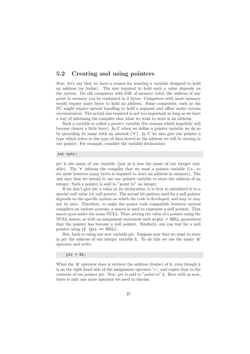## 5.2 Creating and using pointers

Now, let's say that we have a reason for wanting a variable designed to hold an address (or lvalue). The size required to hold such a value depends on the system. On old computers with 64K of memory total, the address of any point in memory can be contained in 2 bytes. Computers with more memory would require more bytes to hold an address. Some computers, such as the PC might require special handling to hold a segment and offset under certain circumstances. The actual size required is not too important so long as we have a way of informing the compiler that what we want to store is an address.

Such a variable is called a *pointer* variable (for reasons which hopefully will become clearer a little later). In C when we define a pointer variable we do so by preceding its name with an asterisk  $(\cdot^*)$ . In C we also give our pointer a type which refers to the type of data stored at the address we will be storing in our pointer. For example, consider the variable declaration:

### int \*ptr;

ptr is the name of our variable (just as k was the name of our integer variable). The '\*' informs the compiler that we want a pointer variable (i.e., to set aside however many bytes is required to store an address in memory). The int says that we intend to use our pointer variable to store the address of an integer. Such a pointer is said to "point to" an integer.

If we don't give ptr a value at its declaration, it is best to initialized it to a special *null* value (or *null pointer*. The actual bit pattern used for a null pointer depends on the specific system on which the code is developed, and may or may not be zero. Therefore, to make the source code compatible between various compilers on various systems, a macro is used to represent a null pointer. That macro goes under the name NULL. Thus, setting the value of a pointer using the NULL macro, as with an assignment statement such as  $ptr = NULL$ , guarantees that the pointer has become a null pointer. Similarly, one can test for a null pointer using if (ptr == NULL).

But, back to using our new variable ptr. Suppose now that we want to store in ptr the address of our integer variable k. To do this we use the unary  $\mathscr{E}'$ operator and write:

#### ptr =  $&k$

What the ' $\&$ ' operator does is retrieve the address (lvalue) of k, even though k is on the right hand side of the assignment operator  $\prime = \prime$ , and copies that to the contents of our pointer ptr. Now, ptr is said to "point to" k. Bear with us now, there is only one more operator we need to discuss.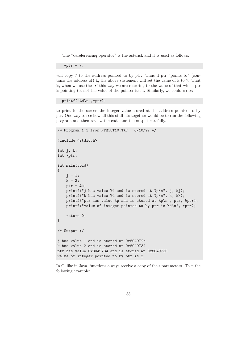The "dereferencing operator" is the asterisk and it is used as follows:

\*ptr =  $7$ ;

will copy 7 to the address pointed to by ptr. Thus if ptr "points to" (contains the address of) k, the above statement will set the value of k to 7. That is, when we use the '\*' this way we are referring to the value of that which ptr is pointing to, not the value of the pointer itself. Similarly, we could write:

printf("%d\n",\*ptr);

to print to the screen the integer value stored at the address pointed to by ptr. One way to see how all this stuff fits together would be to run the following program and then review the code and the output carefully.

```
/* Program 1.1 from PTRTUT10.TXT 6/10/97 */
#include <stdio.h>
int j, k;
int *ptr;
int main(void)
{
    j = 1;k = 2;ptr = \&k;printf("j has value %d and is stored at %p\n", j, &j);
    printf("k has value %d and is stored at %p\n", k, &k);
    printf("ptr has value %p and is stored at %p\n", ptr, &ptr);
    printf("value of integer pointed to by ptr is %d\n", *ptr);
    return 0;
}
/* Output */
j has value 1 and is stored at 0x804972c
k has value 2 and is stored at 0x8049734
ptr has value 0x8049734 and is stored at 0x8049730
value of integer pointed to by ptr is 2
```
In C, like in Java, functions always receive a copy of their parameters. Take the following example: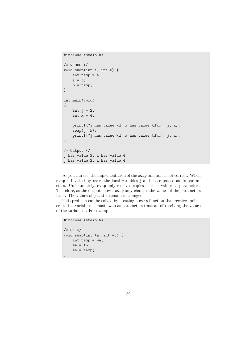```
#include <stdio.h>
/* WRONG */
void swap(int a, int b) {
   int temp = a;
    a = b;
    b = temp;}
int main(void)
{
   int j = 2;
    int k = 4;
    printf("j has value %d, k has value %d\n", j, k);
    swap(j, k);
    printf("j has value %d, k has value %d\n", j, k);
}
/* Output */
j has value 2, k has value 4
j has value 2, k has value 4
```
As you can see, the implementation of the swap function is not correct. When swap is invoked by main, the local variables j and k are passed as its parameters. Unfortunately, swap only receives copies of their values as parameters. Therefore, as the output shows, swap only changes the values of the parameters itself. The values of j and k remain unchanged.

This problem can be solved by creating a swap function that receives pointers to the variables it must swap as parameters (instead of receiving the values of the variables). For example:

```
#include <stdio.h>
/* OK */
void swap(int *a, int *b) {
    int temp = *a;
   *a = *b;*b = temp;}
```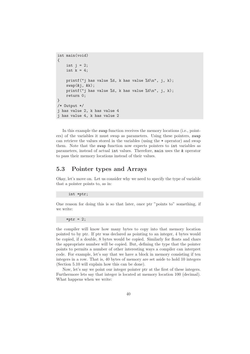```
int main(void)
{
    int j = 2;
    int k = 4;
    printf("j has value %d, k has value %d\n", j, k);
    swap(kj, kk);printf("j has value %d, k has value %d\n", j, k);
    return 0;
}
/* Output */
j has value 2, k has value 4
j has value 4, k has value 2
```
In this example the swap function receives the memory locations (i.e., pointers) of the variables it must swap as parameters. Using these pointers, swap can retrieve the values stored in the variables (using the \* operator) and swap them. Note that the swap function now expects pointers to int variables as parameters, instead of actual int values. Therefore, main uses the & operator to pass their memory locations instead of their values.

## 5.3 Pointer types and Arrays

Okay, let's move on. Let us consider why we need to specify the type of variable that a pointer points to, as in:

```
int *ptr;
```
One reason for doing this is so that later, once ptr "points to" something, if we write:

\*ptr =  $2$ ;

the compiler will know how many bytes to copy into that memory location pointed to by ptr. If ptr was declared as pointing to an integer, 4 bytes would be copied, if a double, 8 bytes would be copied. Similarly for floats and chars the appropriate number will be copied. But, defining the type that the pointer points to permits a number of other interesting ways a compiler can interpret code. For example, let's say that we have a block in memory consisting if ten integers in a row. That is, 40 bytes of memory are set aside to hold 10 integers (Section 5.10 will explain how this can be done).

Now, let's say we point our integer pointer ptr at the first of these integers. Furthermore lets say that integer is located at memory location 100 (decimal). What happens when we write: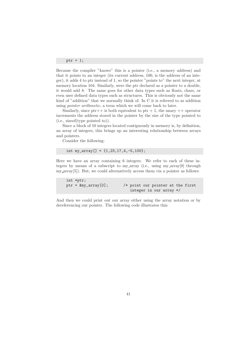ptr + 1;

Because the compiler "knows" this is a pointer (i.e., a memory address) and that it points to an integer (its current address, 100, is the address of an integer), it adds 4 to ptr instead of 1, so the pointer "points to" the next integer, at memory location 104. Similarly, were the ptr declared as a pointer to a double, it would add 8. The same goes for other data types such as floats, chars, or even user defined data types such as structures. This is obviously not the same kind of "addition" that we normally think of. In C it is referred to as addition using pointer arithmetic, a term which we will come back to later.

Similarly, since  $ptr++$  is both equivalent to ptr  $+1$ , the unary  $++$  operator increments the address stored in the pointer by the size of the type pointed to (i.e., sizeof(type pointed to)).

Since a block of 10 integers located contiguously in memory is, by definition, an array of integers, this brings up an interesting relationship between arrays and pointers.

Consider the following:

```
int my_array[] = {1,23,17,4,-5,100};
```
Here we have an array containing 6 integers. We refer to each of these integers by means of a subscript to my array (i.e., using my array[0] through my array[5]). But, we could alternatively access them via a pointer as follows:

| int *ptr;               |  |                                     |  |  |
|-------------------------|--|-------------------------------------|--|--|
| $ptr = \&my\_array[0];$ |  | $/*$ point our pointer at the first |  |  |
|                         |  | integer in our array */             |  |  |

And then we could print out our array either using the array notation or by dereferencing our pointer. The following code illustrates this: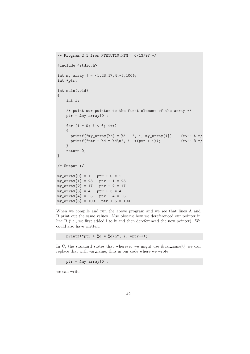```
/* Program 2.1 from PTRTUT10.HTM 6/13/97 */
#include <stdio.h>
int my_array[] = {1,23,17,4,-5,100};
int *ptr;
int main(void)
{
    int i;
    /* point our pointer to the first element of the array */
    ptr = \&my\_array[0];for (i = 0; i < 6; i++){
      printf("my_array[%d] = %d ", i, my_array[i]); /*<-- A */
      printf("ptr + %d = %d\n", i, *(ptr + i)); /*<-- B */
    }
    return 0;
}
/* Output */
my_array[0] = 1 ptr + 0 = 1<br>my_array[1] = 23 ptr + 1 = 23
my_array[1] = 23my_array[2] = 17 ptr + 2 = 17
my_array[3] = 4 ptr + 3 = 4
my_array[4] = -5 ptr + 4 = -5
my_array[5] = 100 ptr + 5 = 100
```
When we compile and run the above program and we see that lines A and B print out the same values. Also observe how we dereferenced our pointer in line B (i.e., we first added i to it and then dereferenced the new pointer). We could also have written:

printf("ptr + %d = %d\n", i, \*ptr++);

In C, the standard states that wherever we might use  $&var_name[0]$  we can replace that with var name, thus in our code where we wrote:

ptr = &my\_array[0];

we can write: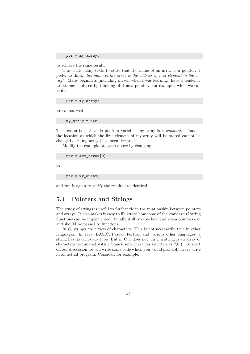ptr = my\_array;

to achieve the same result.

This leads many texts to state that the name of an array is a pointer. I prefer to think "the name of the array is the address of first element in the array". Many beginners (including myself when I was learning) have a tendency to become confused by thinking of it as a pointer. For example, while we can write

ptr = my\_array;

we cannot write

my\_array = ptr;

The reason is that while ptr is a variable, my array is a *constant*. That is, the location at which the first element of my array will be stored cannot be changed once my array[] has been declared.

Modify the example program above by changing

 $ptr = \text{kmy\_array}[0];$ 

to

ptr = my\_array;

and run it again to verify the results are identical.

# 5.4 Pointers and Strings

The study of strings is useful to further tie in the relationship between pointers and arrays. It also makes it easy to illustrate how some of the standard C string functions can be implemented. Finally it illustrates how and when pointers can and should be passed to functions.

In C, strings are arrays of characters. This is not necessarily true in other languages. In Java, BASIC, Pascal, Fortran and various other languages, a string has its own data type. But in C it does not. In C a string is an array of characters terminated with a binary zero character (written as '\0'). To start off our discussion we will write some code which you would probably never write in an actual program. Consider, for example: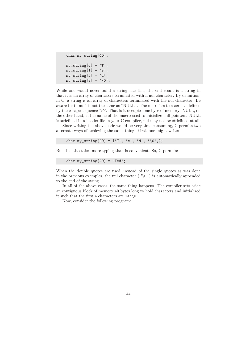```
char my_string[40];
my\_string[0] = 'T';my\_string[1] = 'e';my\_string[2] = 'd':my\_string[3] = ' \0';
```
While one would never build a string like this, the end result is a string in that it is an array of characters terminated with a nul character. By definition, in C, a string is an array of characters terminated with the nul character. Be aware that "nul" is not the same as "NULL". The nul refers to a zero as defined by the escape sequence '\0'. That is it occupies one byte of memory. NULL, on the other hand, is the name of the macro used to initialize null pointers. NULL is #defined in a header file in your C compiler, nul may not be #defined at all.

Since writing the above code would be very time consuming, C permits two alternate ways of achieving the same thing. First, one might write:

char my\_string[40] = {'T', 'e', 'd', '\0', };

But this also takes more typing than is convenient. So, C permits:

```
char my\_string[40] = "Ted";
```
When the double quotes are used, instead of the single quotes as was done in the previous examples, the nul character ( $'\$ ) is automatically appended to the end of the string.

In all of the above cases, the same thing happens. The compiler sets aside an contiguous block of memory 40 bytes long to hold characters and initialized it such that the first 4 characters are Ted\0.

Now, consider the following program: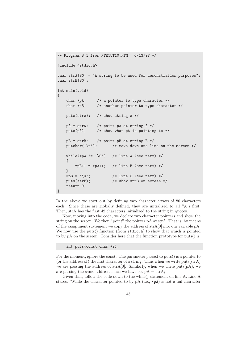```
/* Program 3.1 from PTRTUT10.HTM 6/13/97 */
#include <stdio.h>
char strA[80] = "A string to be used for demonstration purposes";
char strB[80];
int main(void)
{
   char *pA; /* a pointer to type character */char *pB; /* another pointer to type character */
   puts(strA); /* show string A */
   pA = strA; /* point pA at string A */
   puts(pA); /* show what pA is pointing to */
   pB = strB; /* point pB at string B */
   putchar('\n); /* move down one line on the screen */
   while(*pA != \sqrt{0'}) /* line A (see text) */
    {
       *pB++ = *pA++; /* line B (see text) */
    }
    *pB = '\0'; /* line C (see text) */
   puts(strB); /* show strB on screen */
   return 0;
}
```
In the above we start out by defining two character arrays of 80 characters each. Since these are globally defined, they are initialized to all '\0's first. Then, strA has the first 42 characters initialized to the string in quotes.

Now, moving into the code, we declare two character pointers and show the string on the screen. We then "point" the pointer pA at strA. That is, by means of the assignment statement we copy the address of  $strA[0]$  into our variable pA. We now use the puts() function (from  $\text{stdio.h}$ ) to show that which is pointed to by pA on the screen. Consider here that the function prototype for puts() is:

int puts(const char \*s);

For the moment, ignore the const. The parameter passed to puts() is a pointer to (or the address of) the first character of a string. Thus when we write puts(strA) we are passing the address of  $strA[0]$ . Similarly, when we write  $puts(pA)$ ; we are passing the same address, since we have set  $pA = strA$ ;

Given that, follow the code down to the while() statement on line A. Line A states: 'While the character pointed to by pA (i.e., \*pA) is not a nul character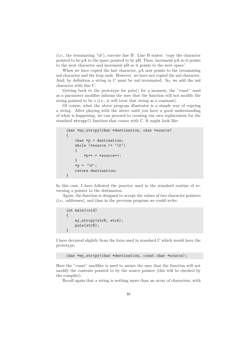(i.e., the terminating ' $\lozenge$ '), execute line B'. Line B states: 'copy the character pointed to by pA to the space pointed to by pB. Then, increment pA so it points to the next character and increment pB so it points to the next space'.

When we have copied the last character, pA now points to the terminating nul character and the loop ends. However, we have not copied the nul character. And, by definition a string in C must be nul terminated. So, we add the nul character with line C.

Getting back to the prototype for puts() for a moment, the "const" used as a parameter modifier informs the user that the function will not modify the string pointed to by s (i.e., it will treat that string as a constant).

Of course, what the above program illustrates is a simple way of copying a string. After playing with the above until you have a good understanding of what is happening, we can proceed to creating our own replacement for the standard strcpy() function that comes with C. It might look like:

```
char *my_strcpy(char *destination, char *source)
{
    char *p = destination;while (*source != '\0')
    {
        *p++ = *source++;
    }
    *p = '\0';return destination;
}
```
In this case, I have followed the practice used in the standard routine of returning a pointer to the destination.

Again, the function is designed to accept the values of two character pointers (i.e., addresses), and thus in the previous program we could write:

```
int main(void)
{
    my_strcpy(strB, strA);
    puts(strB);
}
```
I have deviated slightly from the form used in standard C which would have the prototype:

```
char *my_strcpy(char *destination, const char *source);
```
Here the "const" modifier is used to assure the user that the function will not modify the contents pointed to by the source pointer (this will be checked by the compiler).

Recall again that a string is nothing more than an array of characters, with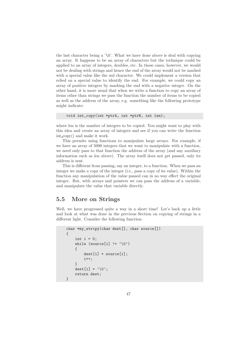the last character being a ' $\lozenge$ '. What we have done above is deal with copying an array. It happens to be an array of characters but the technique could be applied to an array of integers, doubles, etc. In those cases, however, we would not be dealing with strings and hence the end of the array would not be marked with a special value like the nul character. We could implement a version that relied on a special value to identify the end. For example, we could copy an array of positive integers by marking the end with a negative integer. On the other hand, it is more usual that when we write a function to copy an array of items other than strings we pass the function the number of items to be copied as well as the address of the array, e.g. something like the following prototype might indicate:

```
void int_copy(int *ptrA, int *ptrB, int len);
```
where len is the number of integers to be copied. You might want to play with this idea and create an array of integers and see if you can write the function int copy() and make it work.

This permits using functions to manipulate large arrays. For example, if we have an array of 5000 integers that we want to manipulate with a function, we need only pass to that function the address of the array (and any auxiliary information such as len above). The array itself does not get passed, only its address is sent.

This is different from passing, say an integer, to a function. When we pass an integer we make a copy of the integer (i.e., pass a copy of its value). Within the function any manipulation of the value passed can in no way effect the original integer. But, with arrays and pointers we can pass the address of a variable, and manipulate the value that variable directly.

## 5.5 More on Strings

Well, we have progressed quite a way in a short time! Let's back up a little and look at what was done in the previous Section on copying of strings in a different light. Consider the following function:

```
char *my_strcpy(char dest[], char source[])
{
    int i = 0;
    while (source[i] != '\0')
    {
        dest[i] = source[i];i++;
    }
    dest[i] = ' \0;
    return dest;
}
```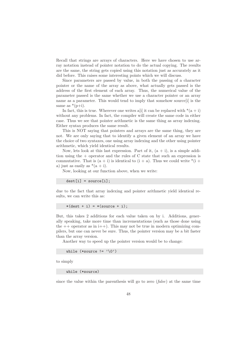Recall that strings are arrays of characters. Here we have chosen to use array notation instead of pointer notation to do the actual copying. The results are the same, the string gets copied using this notation just as accurately as it did before. This raises some interesting points which we will discuss.

Since parameters are passed by value, in both the passing of a character pointer or the name of the array as above, what actually gets passed is the address of the first element of each array. Thus, the numerical value of the parameter passed is the same whether we use a character pointer or an array name as a parameter. This would tend to imply that somehow source[i] is the same as  $*(p+i)$ .

In fact, this is true. Wherever one writes a i i it can be replaced with  $*(a + i)$ without any problems. In fact, the compiler will create the same code in either case. Thus we see that pointer arithmetic is the same thing as array indexing. Either syntax produces the same result.

This is NOT saying that pointers and arrays are the same thing, they are not. We are only saying that to identify a given element of an array we have the choice of two syntaxes, one using array indexing and the other using pointer arithmetic, which yield identical results.

Now, lets look at this last expression. Part of it,  $(a + i)$ , is a simple addition using the + operator and the rules of C state that such an expression is commutative. That is  $(a + i)$  is identical to  $(i + a)$ . Thus we could write  $*(i +$ a) just as easily as  $*(a + i)$ .

Now, looking at our function above, when we write:

 $dest[i] = source[i];$ 

due to the fact that array indexing and pointer arithmetic yield identical results, we can write this as:

 $*(dest + i) = *(source + i);$ 

But, this takes 2 additions for each value taken on by i. Additions, generally speaking, take more time than incrementations (such as those done using the  $++$  operator as in  $i++$ ). This may not be true in modern optimizing compilers, but one can never be sure. Thus, the pointer version may be a bit faster than the array version.

Another way to speed up the pointer version would be to change:

while (\*source  $!=$  '\0')

to simply

while (\*source)

since the value within the parenthesis will go to zero  $(false)$  at the same time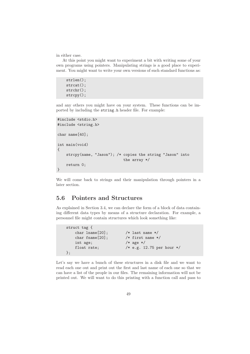in either case.

At this point you might want to experiment a bit with writing some of your own programs using pointers. Manipulating strings is a good place to experiment. You might want to write your own versions of such standard functions as:

```
strlen();
strcat();
strchr();
strcpy();
```
and any others you might have on your system. These functions can be imported by including the string.h header file. For example:

```
#include <stdio.h>
#include <string.h>
char name[40];
int main(void)
{
    strcpy(name, "Jason"); /* copies the string "Jason" into
                               the array */
    return 0;
}
```
We will come back to strings and their manipulation through pointers in a later section.

# 5.6 Pointers and Structures

As explained in Section 3.4, we can declare the form of a block of data containing different data types by means of a structure declaration. For example, a personnel file might contain structures which look something like:

```
struct tag {
   char lname[20]; /* last name */
   char fname[20]; /* first name */
   int age; /* age */float rate; /* e.g. 12.75 per hour */};
```
Let's say we have a bunch of these structures in a disk file and we want to read each one out and print out the first and last name of each one so that we can have a list of the people in our files. The remaining information will not be printed out. We will want to do this printing with a function call and pass to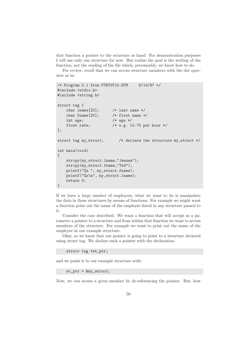that function a pointer to the structure at hand. For demonstration purposes I will use only one structure for now. But realize the goal is the writing of the function, not the reading of the file which, presumably, we know how to do.

For review, recall that we can access structure members with the dot operator as in:

```
/* Program 5.1 from PTRTUT10.HTM 6/13/97 */
#include <stdio.h>
#include <string.h>
struct tag {
   char lname[20]; /* last name */
   char fname[20]; /* first name */
   int age; /* age */
   float rate; /* e.g. 12.75 per hour */
};
struct tag my_struct; /* declare the structure my_struct */
int main(void)
{
   strcpy(my_struct.lname,"Jensen");
   strcpy(my_struct.fname,"Ted");
   printf("%s", my_struct.fname);
   printf("%s\n", my_struct.lname);
   return 0;
}
```
If we have a large number of employees, what we want to do is manipulate the data in these structures by means of functions. For example we might want a function print out the name of the employee listed in any structure passed to it.

Consider the case described. We want a function that will accept as a parameter a pointer to a structure and from within that function we want to access members of the structure. For example we want to print out the name of the employee in our example structure.

Okay, so we know that our pointer is going to point to a structure declared using struct tag. We declare such a pointer with the declaration:

struct tag \*st\_ptr;

and we point it to our example structure with:

st\_ptr = &my\_struct;

Now, we can access a given member by de-referencing the pointer. But, how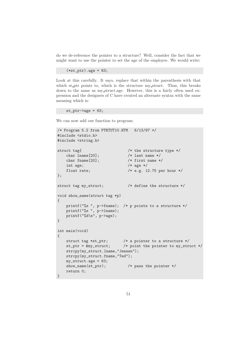do we de-reference the pointer to a structure? Well, consider the fact that we might want to use the pointer to set the age of the employee. We would write:

 $(*st\_ptr) .age = 63;$ 

Look at this carefully. It says, replace that within the parenthesis with that which st\_ptr points to, which is the structure my\_struct. Thus, this breaks down to the same as my struct.age. However, this is a fairly often used expression and the designers of C have created an alternate syntax with the same meaning which is:

 $st_ptr-\geq 63$ ;

We can now add our function to program:

```
/* Program 5.2 from PTRTUT10.HTM 6/13/97 */
#include <stdio.h>
#include <string.h>
struct tag{ /* the structure type */char lname [20]; /* last name */char fname[20]; /* first name */int age; /* age */float rate; /* e.g. 12.75 per hour */
};
struct tag my_struct; /* define the structure */
void show_name(struct tag *p)
{
   printf("%s ", p->fname); /* p points to a structure */
   printf("%s", p->lname);
   printf("%d\n", p->age);
}
int main(void)
{
   struct tag *st_ptr; /* a pointer to a structure */
   st_ptr = &my_struct; /* point the pointer to my_struct */
   strcpy(my_struct.lname,"Jensen");
   strcpy(my_struct.fname,"Ted");
   my_struct.age = 63;
   show_name(st_ptr); /* pass the pointer */return 0;
}
```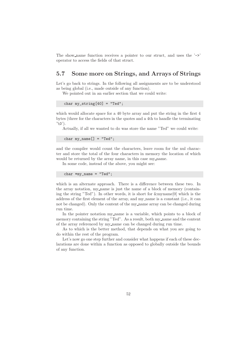The show name function receives a pointer to our struct, and uses the  $\rightarrow$ operator to access the fields of that struct.

# 5.7 Some more on Strings, and Arrays of Strings

Let's go back to strings. In the following all assignments are to be understood as being global (i.e., made outside of any function).

We pointed out in an earlier section that we could write:

```
char my\_string[40] = "Ted";
```
which would allocate space for a 40 byte array and put the string in the first 4 bytes (three for the characters in the quotes and a 4th to handle the terminating  $'$ \0').

Actually, if all we wanted to do was store the name "Ted" we could write:

char  $my_name[] = "Ted";$ 

and the compiler would count the characters, leave room for the nul character and store the total of the four characters in memory the location of which would be returned by the array name, in this case my\_name.

In some code, instead of the above, you might see:

char \*my\_name = "Ted";

which is an alternate approach. There is a difference between these two. In the array notation, my name is just the name of a block of memory (containing the string "Ted"). In other words, it is short for  $\&$ myname $[0]$  which is the address of the first element of the array, and my name is a constant (i.e., it can not be changed). Only the content of the my name array can be changed during run time.

In the pointer notation my name is a variable, which points to a block of memory containing the string "Ted". As a result, both my\_name and the content of the array referenced by my name can be changed during run time.

As to which is the better method, that depends on what you are going to do within the rest of the program.

Let's now go one step further and consider what happens if each of these declarations are done within a function as opposed to globally outside the bounds of any function.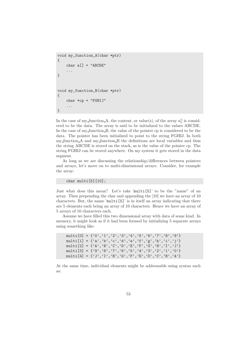```
void my_function_A(char *ptr)
{
    char a[] = "ABCDE"...
}
void my_function_B(char *ptr)
{
    char *cp = "FGHIJ"...
}
```
In the case of my function  $A$ , the content, or value(s), of the array a[] is considered to be the data. The array is said to be initialized to the values ABCDE. In the case of my function B, the value of the pointer cp is considered to be the data. The pointer has been initialized to point to the string FGHIJ. In both my function A and my function B the definitions are local variables and thus the string ABCDE is stored on the stack, as is the value of the pointer cp. The string FGHIJ can be stored anywhere. On my system it gets stored in the data segment.

As long as we are discussing the relationship/differences between pointers and arrays, let's move on to multi-dimensional arrays. Consider, for example the array:

char multi[5][10];

Just what does this mean? Let's take 'multi[5]' to be the "name" of an array. Then prepending the char and appending the [10] we have an array of 10 characters. But, the name 'multi[5]' is in itself an array indicating that there are 5 elements each being an array of 10 characters. Hence we have an array of 5 arrays of 10 characters each.

Assume we have filled this two dimensional array with data of some kind. In memory, it might look as if it had been formed by initializing 5 separate arrays using something like:

```
multi[0] = \{ '0', '1', '2', '3', '4', '5', '6', '7', '8', '9' \}multi[1] = {'a','b','c','d','e','f','g','h','i','j'}
multi[2] = \{'A', 'B', 'C', 'D', 'E', 'F', 'G', 'H', 'I', 'J'\}multi[3] = {'9','8','7','6','5','4','3','2','1','0'}
multi[4] = \{'J', 'I', 'H', 'G', 'F', 'E', 'D', 'C', 'B', 'A'\}
```
At the same time, individual elements might be addressable using syntax such as: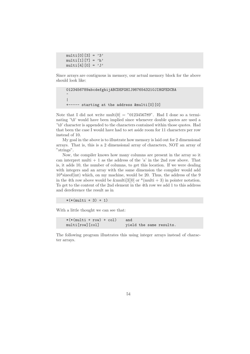$multi[0][3] = '3'$ multi $[1]$  $[7]$  = 'h' multi $[4]$  $[0]$  = 'J'

Since arrays are contiguous in memory, our actual memory block for the above should look like:

```
0123456789abcdefghijABCDEFGHIJ9876543210JIHGFEDCBA
\hat{\phantom{a}}|
+----- starting at the address &multi[0][0]
```
Note that I did not write multi $[0] = "0123456789"$ . Had I done so a terminating '\0' would have been implied since whenever double quotes are used a '\0' character is appended to the characters contained within those quotes. Had that been the case I would have had to set aside room for 11 characters per row instead of 10.

My goal in the above is to illustrate how memory is laid out for 2 dimensional arrays. That is, this is a 2 dimensional array of characters, NOT an array of "strings".

Now, the compiler knows how many columns are present in the array so it can interpret multi  $+1$  as the address of the 'a' in the 2nd row above. That is, it adds 10, the number of columns, to get this location. If we were dealing with integers and an array with the same dimension the compiler would add  $10*$ sizeof(int) which, on my machine, would be 20. Thus, the address of the 9 in the 4th row above would be &multi[3][0] or  $*($ multi + 3) in pointer notation. To get to the content of the 2nd element in the 4th row we add 1 to this address and dereference the result as in

 $*(*(multi + 3) + 1)$ 

With a little thought we can see that:

```
*(*(\text{multi} + \text{row}) + \text{col}) and
multi[row][col] yield the same results.
```
The following program illustrates this using integer arrays instead of character arrays.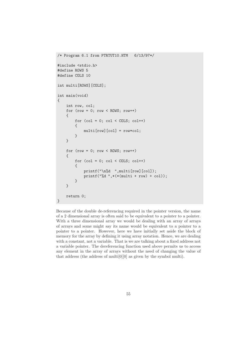```
/* Program 6.1 from PTRTUT10.HTM 6/13/97*/
#include <stdio.h>
#define ROWS 5
#define COLS 10
int multi[ROWS][COLS];
int main(void)
{
    int row, col;
    for (row = 0; row < ROWS; row++){
        for (col = 0; col < COLS; col++){
            multi[row][col] = row*col;
        }
    }
    for (row = 0; row < ROWS; row++){
        for (col = 0; col < COLS; col++){
            printf("\n%d ",multi[row][col]);
            printf("%d ",*(*(multi + row) + col));
        }
    }
    return 0;
}
```
Because of the double de-referencing required in the pointer version, the name of a 2 dimensional array is often said to be equivalent to a pointer to a pointer. With a three dimensional array we would be dealing with an array of arrays of arrays and some might say its name would be equivalent to a pointer to a pointer to a pointer. However, here we have initially set aside the block of memory for the array by defining it using array notation. Hence, we are dealing with a constant, not a variable. That is we are talking about a fixed address not a variable pointer. The dereferencing function used above permits us to access any element in the array of arrays without the need of changing the value of that address (the address of multi $[0][0]$  as given by the symbol multi).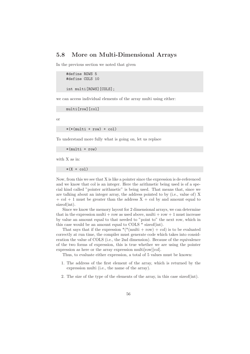## 5.8 More on Multi-Dimensional Arrays

In the previous section we noted that given

```
#define ROWS 5
#define COLS 10
```
int multi[ROWS][COLS];

we can access individual elements of the array multi using either:

multi[row][col]

or

 $*(*(\text{multi} + \text{row}) + \text{col})$ 

To understand more fully what is going on, let us replace

\*(multi + row)

with X as in:

 $*(X + col)$ 

Now, from this we see that X is like a pointer since the expression is de-referenced and we know that col is an integer. Here the arithmetic being used is of a special kind called "pointer arithmetic" is being used. That means that, since we are talking about an integer array, the address pointed to by (i.e., value of) X  $+$  col  $+$  1 must be greater than the address  $X +$  col by and amount equal to sizeof(int).

Since we know the memory layout for 2 dimensional arrays, we can determine that in the expression multi  $+$  row as used above, multi  $+$  row  $+1$  must increase by value an amount equal to that needed to "point to" the next row, which in this case would be an amount equal to COLS \* sizeof(int).

That says that if the expression  $*(\text{multi} + \text{row}) + \text{col})$  is to be evaluated correctly at run time, the compiler must generate code which takes into consideration the value of COLS (i.e., the 2nd dimension). Because of the equivalence of the two forms of expression, this is true whether we are using the pointer expression as here or the array expression multi[row][col].

Thus, to evaluate either expression, a total of 5 values must be known:

- 1. The address of the first element of the array, which is returned by the expression multi (i.e., the name of the array).
- 2. The size of the type of the elements of the array, in this case sizeof(int).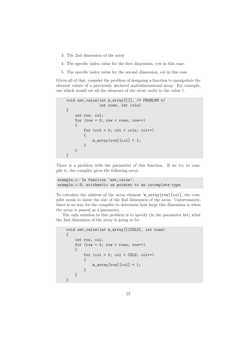- 3. The 2nd dimension of the array
- 4. The specific index value for the first dimension, row in this case.
- 5. The specific index value for the second dimension, col in this case.

Given all of that, consider the problem of designing a function to manipulate the element values of a previously declared multidimensional array. For example, one which would set all the elements of the array multi to the value 1.

```
void set_value(int m_array[][], /* PROBLEM */
               int rows, int cols)
{
    int row, col;
    for (row = 0; row < rows; row++){
        for (col = 0; col < col; col++){
            m_=array[row][col] = 1;}
    }
}
```
There is a problem with the parameter of this function. If we try to compile it, the compiler gives the following error:

```
example.c: In function 'set_value':
example.c:8: arithmetic on pointer to an incomplete type
```
To calculate the address of the array element 'm\_array[row][col], the compiler needs to know the size of the 2nd dimension of the array. Unfortunately, there is no way for the compiler to determine how large this dimension is when the array is passed as a parameter.

The only solution to this problem is to specify (in the parameter list) what the 2nd dimension of the array is going to be:

```
void set_value(int m_array[][COLS], int rows)
{
    int row, col;
    for (row = 0; row < row; row; row++){
        for (col = 0; col < COLS; col++){
            m_=array[row][col] = 1;}
    }
}
```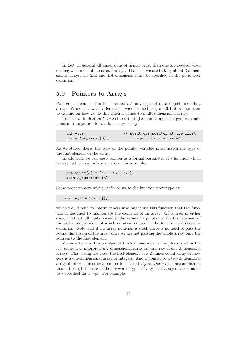In fact, in general all dimensions of higher order than one are needed when dealing with multi-dimensional arrays. That is if we are talking about 3 dimensional arrays, the 2nd and 3rd dimension must be specified in the parameter definition.

## 5.9 Pointers to Arrays

Pointers, of course, can be "pointed at" any type of data object, including arrays. While that was evident when we discussed program 3.1, it is important to expand on how we do this when it comes to multi-dimensional arrays.

To review, in Section 5.3 we stated that given an array of integers we could point an integer pointer at that array using:

| int *ptr;               | /* point our pointer at the first |  |  |  |
|-------------------------|-----------------------------------|--|--|--|
| $ptr = \&my\_array[0];$ | integer in our array */           |  |  |  |

As we stated there, the type of the pointer variable must match the type of the first element of the array.

In addition, we can use a pointer as a formal parameter of a function which is designed to manipulate an array. For example:

```
int array [3] = \{'1', '5', '7'\};void a_func(int *p);
```
Some programmers might prefer to write the function prototype as:

```
void a_func(int p[]);
```
which would tend to inform others who might use this function that the function is designed to manipulate the elements of an array. Of course, in either case, what actually gets passed is the value of a pointer to the first element of the array, independent of which notation is used in the function prototype or definition. Note that if the array notation is used, there is no need to pass the actual dimension of the array since we are not passing the whole array, only the address to the first element.

We now turn to the problem of the 2 dimensional array. As stated in the last section, C interprets a 2 dimensional array as an array of one dimensional arrays. That being the case, the first element of a 2 dimensional array of integers is a one dimensional array of integers. And a pointer to a two dimensional array of integers must be a pointer to that data type. One way of accomplishing this is through the use of the keyword "typedef". typedef assigns a new name to a specified data type. For example: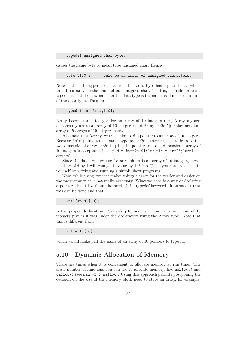typedef unsigned char byte;

causes the name byte to mean type unsigned char. Hence

byte b[10]; would be an array of unsigned characters.

Note that in the typedef declaration, the word byte has replaced that which would normally be the name of our unsigned char. That is, the rule for using typedef is that the new name for the data type is the name used in the definition of the data type. Thus in:

```
typedef int Array[10];
```
Array becomes a data type for an array of 10 integers (i.e., Array my arr; declares my arr as an array of 10 integers) and Array arr2d[5]; makes arr2d an array of 5 arrays of 10 integers each.

Also note that 'Array \*p1d; makes p1d a pointer to an array of 10 integers. Because \*p1d points to the same type as arr2d, assigning the address of the two dimensional array arr2d to p1d, the pointer to a one dimensional array of 10 integers is acceptable (i.e., 'p1d =  $\&array[0]$ ;' or 'p1d =  $\ar{r}2d$ ;' are both correct).

Since the data type we use for our pointer is an array of 10 integers, incrementing p1d by 1 will change its value by  $10*$  size of (int) (you can prove this to yourself by writing and running a simple short program).

Now, while using typedef makes things clearer for the reader and easier on the programmer, it is not really necessary. What we need is a way of declaring a pointer like p1d without the need of the typedef keyword. It turns out that this can be done and that

int (\*p1d)[10];

is the proper declaration. Variable p1d here is a pointer to an array of 10 integers just as it was under the declaration using the Array type. Note that this is different from

int \*p1d[10];

which would make p1d the name of an array of 10 pointers to type int.

## 5.10 Dynamic Allocation of Memory

There are times when it is convenient to allocate memory at run time. The are a number of functions you can use to allocate memory, like malloc() and calloc() (see man -S 3 malloc). Using this approach permits postponing the decision on the size of the memory block need to store an array, for example,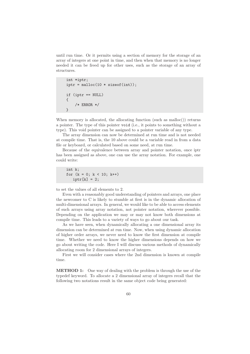until run time. Or it permits using a section of memory for the storage of an array of integers at one point in time, and then when that memory is no longer needed it can be freed up for other uses, such as the storage of an array of structures.

```
int *iptr;
iptr = \text{malloc}(10 * \text{sizeof(int)});if (iptr == NULL)
{
     /* ERROR */
}
```
When memory is allocated, the allocating function (such as malloc()) returns a pointer. The type of this pointer void (i.e., it points to something without a type). This void pointer can be assigned to a pointer variable of any type.

The array dimension can now be determined at run time and is not needed at compile time. That is, the 10 above could be a variable read in from a data file or keyboard, or calculated based on some need, at run time.

Because of the equivalence between array and pointer notation, once iptr has been assigned as above, one can use the array notation. For example, one could write:

```
int k;
for (k = 0; k < 10; k++)iptr[k] = 2;
```
to set the values of all elements to 2.

Even with a reasonably good understanding of pointers and arrays, one place the newcomer to C is likely to stumble at first is in the dynamic allocation of multi-dimensional arrays. In general, we would like to be able to access elements of such arrays using array notation, not pointer notation, wherever possible. Depending on the application we may or may not know both dimensions at compile time. This leads to a variety of ways to go about our task.

As we have seen, when dynamically allocating a one dimensional array its dimension can be determined at run time. Now, when using dynamic allocation of higher order arrays, we never need to know the first dimension at compile time. Whether we need to know the higher dimensions depends on how we go about writing the code. Here I will discuss various methods of dynamically allocating room for 2 dimensional arrays of integers.

First we will consider cases where the 2nd dimension is known at compile time.

METHOD 1: One way of dealing with the problem is through the use of the typedef keyword. To allocate a 2 dimensional array of integers recall that the following two notations result in the same object code being generated: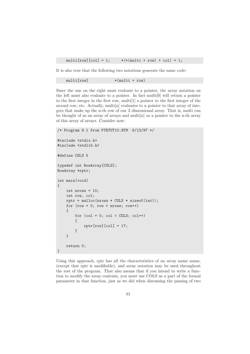multi $[row][col] = 1;$   $*(*(multi + row) + col) = 1;$ 

It is also true that the following two notations generate the same code:

multi[row]  $*(\text{multi} + \text{row})$ 

Since the one on the right must evaluate to a pointer, the array notation on the left must also evaluate to a pointer. In fact multi[0] will return a pointer to the first integer in the first row, multi[1] a pointer to the first integer of the second row, etc. Actually, multi<sup>[n]</sup> evaluates to a pointer to that array of integers that make up the n-th row of our 2 dimensional array. That is, multi can be thought of as an array of arrays and multi[n] as a pointer to the n-th array of this array of arrays. Consider now:

```
/* Program 9.1 from PTRTUT10.HTM 6/13/97 */
#include <stdio.h>
#include <stdlib.h>
#define COLS 5
typedef int RowArray[COLS];
RowArray *rptr;
int main(void)
{
    int nrows = 10;
    int row, col;
    rptr = malloc(nrows * COLS * sizeof(int));
    for (row = 0; row < nrows; row++)
    {
        for (col = 0; col < COLS; col++){
            rptr[row][col] = 17;}
    }
    return 0;
}
```
Using this approach, rptr has all the characteristics of an array name name, (except that rptr is modifiable), and array notation may be used throughout the rest of the program. That also means that if you intend to write a function to modify the array contents, you must use COLS as a part of the formal parameter in that function, just as we did when discussing the passing of two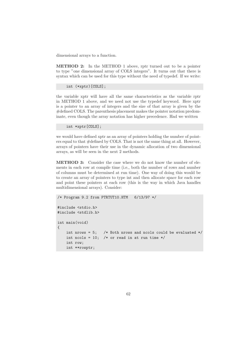dimensional arrays to a function.

METHOD 2: In the METHOD 1 above, rptr turned out to be a pointer to type "one dimensional array of COLS integers". It turns out that there is syntax which can be used for this type without the need of typedef. If we write:

```
int (*xptr)[COLS];
```
the variable xptr will have all the same characteristics as the variable rptr in METHOD 1 above, and we need not use the typedef keyword. Here xptr is a pointer to an array of integers and the size of that array is given by the #defined COLS. The parenthesis placement makes the pointer notation predominate, even though the array notation has higher precedence. Had we written

int \*xptr[COLS];

we would have defined xptr as an array of pointers holding the number of pointers equal to that #defined by COLS. That is not the same thing at all. However, arrays of pointers have their use in the dynamic allocation of two dimensional arrays, as will be seen in the next 2 methods.

METHOD 3: Consider the case where we do not know the number of elements in each row at compile time (i.e., both the number of rows and number of columns must be determined at run time). One way of doing this would be to create an array of pointers to type int and then allocate space for each row and point these pointers at each row (this is the way in which Java handles multidimensional arrays). Consider:

```
/* Program 9.2 from PTRTUT10.HTM 6/13/97 */
#include <stdio.h>
#include <stdlib.h>
int main(void)
{
    int nrows = 5; /* Both nrows and ncols could be evaluated */int ncols = 10; /* or read in at run time */int row;
    int **rowptr;
```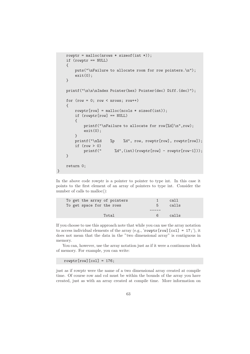```
rowptr = malloc(nrows * sizeof(int *));
if (rowptr == NULL)
{
   puts("\nFailure to allocate room for row pointers.\n");
   exit(0);}
printf("\n\n\nIndex Pointer(hex) Pointer(dec) Diff.(dec)");
for (row = 0: row < nrows: row++){
   rowptr[row] = malloc(ncols * sizeof(int));if (rowptr[row] == NULL)
   {
       printf("\nFailure to allocate for row[%d]\n",row);
       exit(0);}
   printf("\n%d %p %d", row, rowptr[row], rowptr[row]);
   if (row > 0)printf(" %d",(int)(rowptr[row] - rowptr[row-1]));
}
return 0;
```
In the above code rowptr is a pointer to pointer to type int. In this case it points to the first element of an array of pointers to type int. Consider the number of calls to malloc():

| To get the array of pointers |    | call  |
|------------------------------|----|-------|
| To get space for the rows    | h  | calls |
|                              |    |       |
| Total                        | 6. | calls |

If you choose to use this approach note that while you can use the array notation to access individual elements of the array (e.g., 'rowptr[row][col] =  $17$ ;'), it does not mean that the data in the "two dimensional array" is contiguous in memory.

You can, however, use the array notation just as if it were a continuous block of memory. For example, you can write:

rowptr $[row][col] = 176;$ 

}

just as if rowptr were the name of a two dimensional array created at compile time. Of course row and col must be within the bounds of the array you have created, just as with an array created at compile time. More information on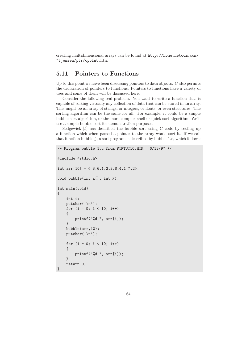creating multidimensional arrays can be found at http://home.netcom.com/ ~tjensen/ptr/cpoint.htm.

# 5.11 Pointers to Functions

Up to this point we have been discussing pointers to data objects. C also permits the declaration of pointers to functions. Pointers to functions have a variety of uses and some of them will be discussed here.

Consider the following real problem. You want to write a function that is capable of sorting virtually any collection of data that can be stored in an array. This might be an array of strings, or integers, or floats, or even structures. The sorting algorithm can be the same for all. For example, it could be a simple bubble sort algorithm, or the more complex shell or quick sort algorithm. We'll use a simple bubble sort for demonstration purposes.

Sedgewick [5] has described the bubble sort using C code by setting up a function which when passed a pointer to the array would sort it. If we call that function bubble(), a sort program is described by bubble 1.c, which follows:

```
/* Program bubble_1.c from PTRTUT10.HTM 6/13/97 */
#include <stdio.h>
int arr[10] = \{ 3, 6, 1, 2, 3, 8, 4, 1, 7, 2 \};void bubble(int a[], int N);
int main(void)
{
    int i;
    putchar(\prime\n<sub>'</sub>);
    for (i = 0; i < 10; i++){
         printf("%d ", arr[i]);
    }
    bubble(arr,10);
    putchar(\prime\n<sub>'</sub>);
    for (i = 0; i < 10; i++){
         printf("%d ", arr[i]);
    }
    return 0;
}
```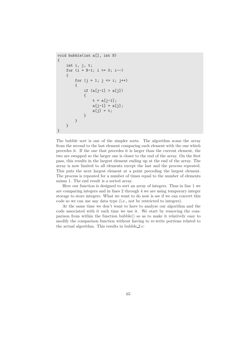```
void bubble(int a[], int N)
{
    int i, j, t;
    for (i = N-1; i >= 0; i--){
        for (j = 1; j \le i; j++){
            if (a[i-1] > a[i]){
                t = a[i-1];a[j-1] = a[j];a[j] = t;}
        }
    }
}
```
The bubble sort is one of the simpler sorts. The algorithm scans the array from the second to the last element comparing each element with the one which precedes it. If the one that precedes it is larger than the current element, the two are swapped so the larger one is closer to the end of the array. On the first pass, this results in the largest element ending up at the end of the array. The array is now limited to all elements except the last and the process repeated. This puts the next largest element at a point preceding the largest element. The process is repeated for a number of times equal to the number of elements minus 1. The end result is a sorted array.

Here our function is designed to sort an array of integers. Thus in line 1 we are comparing integers and in lines 2 through 4 we are using temporary integer storage to store integers. What we want to do now is see if we can convert this code so we can use any data type (i.e., not be restricted to integers).

At the same time we don't want to have to analyze our algorithm and the code associated with it each time we use it. We start by removing the comparison from within the function bubble() so as to make it relatively easy to modify the comparison function without having to re-write portions related to the actual algorithm. This results in bubble 2.c: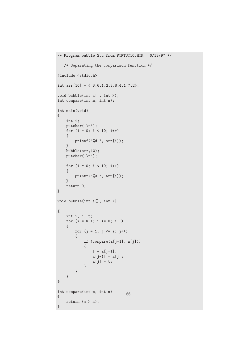```
/* Program bubble_2.c from PTRTUT10.HTM 6/13/97 */
   /* Separating the comparison function */
#include <stdio.h>
int arr[10] = { 3,6,1,2,3,8,4,1,7,2};
void bubble(int a[], int N);
int compare(int m, int n);
int main(void)
{
    int i;
    putchar('\n');
   for (i = 0; i < 10; i++){
       printf("%d ", arr[i]);
    }
   bubble(arr,10);
   putchar('\n\in);
   for (i = 0; i < 10; i++){
       printf("%d ", arr[i]);
    }
    return 0;
}
void bubble(int a[], int N)
{
    int i, j, t;
    for (i = N-1; i > = 0; i--){
       for (j = 1; j \le i; j++){
           if (compare(a[j-1], a[j]))
            {
                t = a[j-1];a[j-1] = a[j];a[j] = t;}
       }
    }
}
int compare(int m, int n)
{
   return (m > n);}
                               66
```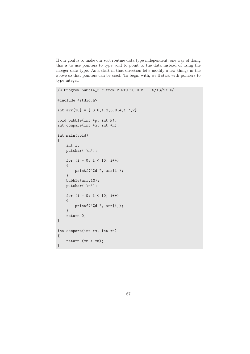If our goal is to make our sort routine data type independent, one way of doing this is to use pointers to type void to point to the data instead of using the integer data type. As a start in that direction let's modify a few things in the above so that pointers can be used. To begin with, we'll stick with pointers to type integer.

```
/* Program bubble_3.c from PTRTUT10.HTM 6/13/97 */
#include <stdio.h>
int arr[10] = { 3,6,1,2,3,8,4,1,7,2};
void bubble(int *p, int N);
int compare(int *m, int *n);
int main(void)
{
    int i;
    putchar(\prime\n<sub>'</sub>);
    for (i = 0; i < 10; i++){
        printf("%d ", arr[i]);
    }
    bubble(arr,10);
    putchar('\n');
    for (i = 0; i < 10; i++){
        printf("%d ", arr[i]);
    }
    return 0;
}
int compare(int *m, int *n)
{
    return (*m > *n);}
```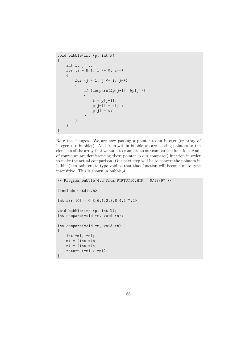```
void bubble(int *p, int N)
{
    int i, j, t;
    for (i = N-1; i >= 0; i--){
        for (j = 1; j \le i; j++){
            if (compare(&p[j-1], &p[j]))
            {
                t = p[j-1];p[j-1] = p[j];p[j] = t;}
        }
    }
}
```
Note the changes. We are now passing a pointer to an integer (or array of integers) to bubble(). And from within bubble we are passing pointers to the elements of the array that we want to compare to our comparison function. And, of course we are dereferencing these pointer in our compare() function in order to make the actual comparison. Our next step will be to convert the pointers in bubble() to pointers to type void so that that function will become more type insensitive. This is shown in bubble 4.

```
/* Program bubble_4.c from PTRTUT10,HTM 6/13/97 */
#include <stdio.h>
int arr[10] = { 3,6,1,2,3,8,4,1,7,2};
void bubble(int *p, int N);
int compare(void *m, void *n);
int compare(void *m, void *n)
{
    int *m1, *n1;
    ml = (int *)m;n1 = (int * )n;return (*m1 > *n1);}
```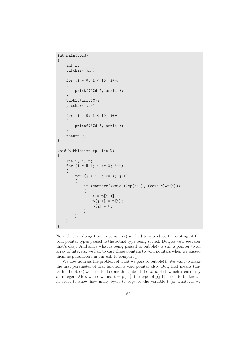```
int main(void)
{
    int i;
    putchar(\prime\n<sub>'</sub>);
    for (i = 0; i < 10; i++)
    {
        printf("%d ", arr[i]);
    }
    bubble(arr,10);
    putchar('n');for (i = 0; i < 10; i++){
        printf("%d ", arr[i]);
    }
    return 0;
}
void bubble(int *p, int N)
{
    int i, j, t;
    for (i = N-1; i > = 0; i--){
        for (j = 1; j \le i; j++){
             if (compare((void *)&p[j-1], (void *)&p[j]))
             {
                 t = p[j-1];p[j-1] = p[j];p[j] = t;}
        }
    }
}
```
Note that, in doing this, in compare() we had to introduce the casting of the void pointer types passed to the actual type being sorted. But, as we'll see later that's okay. And since what is being passed to bubble() is still a pointer to an array of integers, we had to cast these pointers to void pointers when we passed them as parameters in our call to compare().

We now address the problem of what we pass to bubble(). We want to make the first parameter of that function a void pointer also. But, that means that within bubble() we need to do something about the variable t, which is currently an integer. Also, where we use  $t = p[j-1]$ ; the type of  $p[j-1]$  needs to be known in order to know how many bytes to copy to the variable t (or whatever we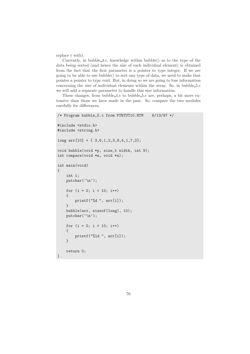replace t with).

Currently, in bubble 4.c, knowledge within bubble() as to the type of the data being sorted (and hence the size of each individual element) is obtained from the fact that the first parameter is a pointer to type integer. If we are going to be able to use bubble() to sort any type of data, we need to make that pointer a pointer to type void. But, in doing so we are going to lose information concerning the size of individual elements within the array. So, in bubble 5.c we will add a separate parameter to handle this size information.

These changes, from bubble 4.c to bubble 5.c are, perhaps, a bit more extensive than those we have made in the past. So, compare the two modules carefully for differences.

```
/* Program bubble_5.c from PTRTUT10.HTM 6/13/97 */
#include <stdio.h>
#include <string.h>
long arr[10] = \{ 3, 6, 1, 2, 3, 8, 4, 1, 7, 2 \};void bubble(void *p, size_t width, int N);
int compare(void *m, void *n);
int main(void)
{
    int i;
    putchar(\prime\n<sub>'</sub>);
    for (i = 0; i < 10; i++){
         printf("%d ", arr[i]);
    }
    bubble(arr, sizeof(long), 10);
    putchar('\n\langle n' \rangle;
    for (i = 0; i < 10; i++){
         printf("%ld ", arr[i]);
    }
    return 0;
}
```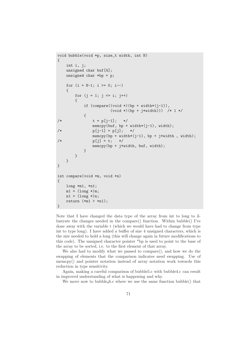```
void bubble(void *p, size_t width, int N)
{
    int i, j;
    unsigned char buf[4];
    unsigned char *bp = p;
    for (i = N-1; i > = 0; i--){
        for (j = 1; j \le i; j++){
            if (\text{compare}((\text{void }*)(\text{bp} + \text{width}*(i-1))),(void *)(bp + j*width))) /* 1 */
            {
/* t = p[j-1]; */
                memcpy(buf, bp + width*(j-1), width);
/* p[j-1] = p[j]; */
                memcpy(bp + width*(j-1), bp + j*width, width);
/* p[j] = t; */memcpy(bp + j*width, buf, width);
            }
        }
    }
}
int compare(void *m, void *n)
{
    long *m1, *n1;
    ml = (long * )m;n1 = (\text{long }*)n;return (*m1 > *n1);}
```
Note that I have changed the data type of the array from int to long to illustrate the changes needed in the compare() function. Within bubble() I've done away with the variable t (which we would have had to change from type int to type long). I have added a buffer of size 4 unsigned characters, which is the size needed to hold a long (this will change again in future modifications to this code). The unsigned character pointer \*bp is used to point to the base of the array to be sorted, i.e. to the first element of that array.

We also had to modify what we passed to compare(), and how we do the swapping of elements that the comparison indicates need swapping. Use of memcpy() and pointer notation instead of array notation work towards this reduction in type sensitivity.

Again, making a careful comparison of bubble5.c with bubble4.c can result in improved understanding of what is happening and why.

We move now to bubble 6.c where we use the same function bubble() that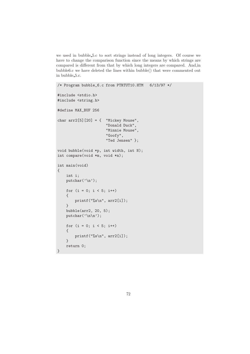we used in bubble 5.c to sort strings instead of long integers. Of course we have to change the comparison function since the means by which strings are compared is different from that by which long integers are compared. And,in bubble6.c we have deleted the lines within bubble() that were commented out in bubble 5.c.

```
/* Program bubble_6.c from PTRTUT10.HTM 6/13/97 */
#include <stdio.h>
#include <string.h>
#define MAX_BUF 256
char arr2[5][20] = { "Mickey Mouse",
                      "Donald Duck",
                      "Minnie Mouse",
                      "Goofy",
                      "Ted Jensen" };
void bubble(void *p, int width, int N);
int compare(void *m, void *n);
int main(void)
{
    int i;
    putchar('\n');
    for (i = 0; i < 5; i++){
        printf("%s\n", arr2[i]);
    }
    bubble(arr2, 20, 5);
    putchar('\n\in'\n);
    for (i = 0; i < 5; i++){
        printf("%s\n", arr2[i]);
    }
    return 0;
}
```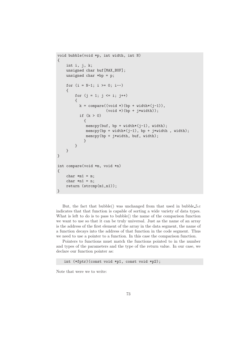```
void bubble(void *p, int width, int N)
{
    int i, j, k;
    unsigned char buf[MAX_BUF];
    unsigned char *bp = p;
    for (i = N-1; i \ge 0; i--){
        for (j = 1; j \le i; j++){
          k = \text{compare}((\text{void } *) (\text{bp} + \text{width} * (i-1)),(void *)(bp + j*width));if (k > 0){
              memcpy(buf, bp + width*(j-1), width);
              memcpy(bp + width*(j-1), bp + j*width, width);
              memcpy(bp + j*width, buf, width);
             }
        }
    }
}
int compare(void *m, void *n)
{
    char *m1 = m;char *n1 = n;return (strcmp(m1,n1));
}
```
But, the fact that bubble() was unchanged from that used in bubble 5.c indicates that that function is capable of sorting a wide variety of data types. What is left to do is to pass to bubble() the name of the comparison function we want to use so that it can be truly universal. Just as the name of an array is the address of the first element of the array in the data segment, the name of a function decays into the address of that function in the code segment. Thus we need to use a pointer to a function. In this case the comparison function.

Pointers to functions must match the functions pointed to in the number and types of the parameters and the type of the return value. In our case, we declare our function pointer as:

int (\*fptr)(const void \*p1, const void \*p2);

Note that were we to write: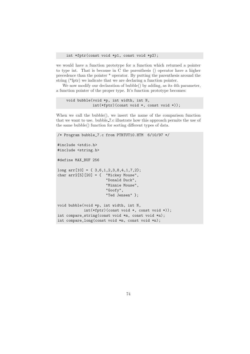we would have a function prototype for a function which returned a pointer to type int. That is because in C the parenthesis () operator have a higher precedence than the pointer \* operator. By putting the parenthesis around the string (\*fptr) we indicate that we are declaring a function pointer.

We now modify our declaration of bubble() by adding, as its 4th parameter, a function pointer of the proper type. It's function prototype becomes:

```
void bubble(void *p, int width, int N,
            int(*fptr)(const void *, const void *));
```
When we call the bubble(), we insert the name of the comparison function that we want to use. bubble 7.c illustrate how this approach permits the use of the same bubble() function for sorting different types of data.

```
/* Program bubble_7.c from PTRTUT10.HTM 6/10/97 */
#include <stdio.h>
#include <string.h>
#define MAX_BUF 256
long arr[10] = { 3,6,1,2,3,8,4,1,7,2};
char arr2[5][20] = \{ "Mickey Mouse",
                      "Donald Duck",
                      "Minnie Mouse",
                      "Goofy",
                      "Ted Jensen" };
void bubble(void *p, int width, int N,
            int(*fptr)(const void *, const void *));
int compare_string(const void *m, const void *n);
int compare_long(const void *m, const void *n);
```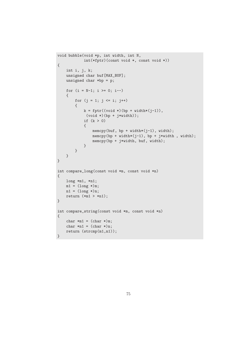```
void bubble(void *p, int width, int N,
            int(*fptr)(const void *, const void *))
{
    int i, j, k;
    unsigned char buf[MAX_BUF];
    unsigned char *bp = p;
    for (i = N-1; i > = 0; i--){
        for (j = 1; j \le i; j++){
            k = fptr((void *)(bp + width * (j-1)),(void *)(bp + j*width));if (k > 0)
            {
                memcpy(buf, bp + width*(j-1), width);
                memcpy(bp + width*(j-1), bp + j*width , width);
                memcpy(bp + j*width, buf, width);
            }
        }
   }
}
int compare_long(const void *m, const void *n)
{
   long *m1, *n1;
    ml = (long *)m;n1 = (\text{long }*)n;return (*m1 > *n1);}
int compare_string(const void *m, const void *n)
{
    char *m1 = (char * )m;char *n1 = (char * )n;return (strcmp(m1,n1));
}
```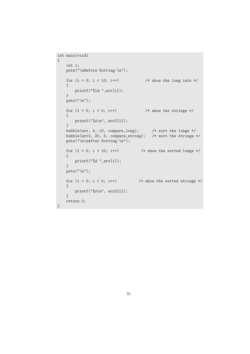```
int main(void)
{
   int i;
   puts("\nBefore Sorting:\n");
   for (i = 0; i < 10; i++) /* show the long ints */
   {
      printf("%ld ",arr[i]);
   }
   puts("\ln");
   for (i = 0; i < 5; i++) /* show the strings */
   {
       printf("%s\n", arr2[i]);
   }
   bubble(arr, 4, 10, compare_long); /* sort the longs */
   bubble(arr2, 20, 5, compare_string); /* sort the strings */
   puts("\n\nAfter Sorting:\n");
   for (i = 0; i < 10; i++) /* show the sorted longs */
   {
      printf("%d ",arr[i]);
   }
   puts("\ln");
   for (i = 0; i < 5; i++) /* show the sorted strings */
    {
       printf("%s\n", arr2[i]);
   }
   return 0;
}
```